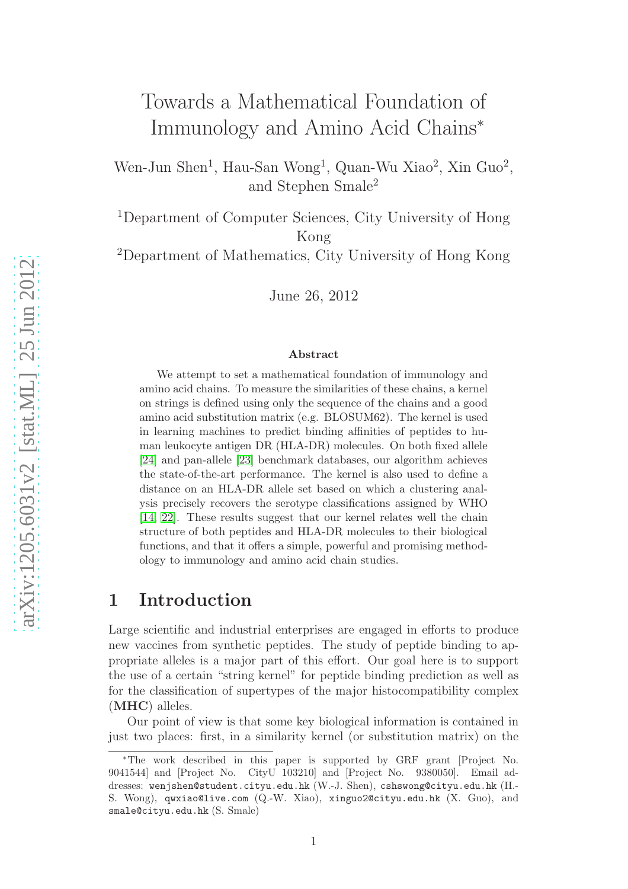# Towards a Mathematical Foundation of Immunology and Amino Acid Chains ∗

Wen-Jun Shen<sup>1</sup>, Hau-San Wong<sup>1</sup>, Quan-Wu Xiao<sup>2</sup>, Xin Guo<sup>2</sup>, and Stephen Smale 2

<sup>1</sup>Department of Computer Sciences, City University of Hong Kong

<sup>2</sup>Department of Mathematics, City University of Hong Kong

June 26, 2012

#### Abstract

We attempt to set a mathematical foundation of immunology an d amino acid chains. To measure the similarities of these chains, a kernel on strings is defined using only the sequence of the chains and a good amino acid substitution matrix (e.g. BLOSUM62). The kernel is used in learning machines to predict binding affinities of peptides to human leukocyte antigen DR (HLA-DR) molecules. On both fixed allele [\[24\]](#page-30-0) and pan-allele [\[23\]](#page-30-1) benchmark databases, our algorithm achieves the state-of-the-art performance. The kernel is also used to define a distance on an HLA-DR allele set based on which a clustering analysis precisely recovers the serotype classifications assigned by WHO [\[14,](#page-29-0) [22\]](#page-30-2). These results suggest that our kernel relates well the chain structure of both peptides and HLA-DR molecules to their biological functions, and that it offers a simple, powerful and promising methodology to immunology and amino acid chain studies.

### 1 Introduction

Large scientific and industrial enterprises are engaged in efforts to produce new vaccines from synthetic peptides. The study of peptide binding to appropriate alleles is a major part of this effort. Our goal here is to support the use of a certain "string kernel" for peptide binding prediction as well as for the classification of supertypes of the major histocompatibility complex (MHC) alleles.

Our point of view is that some key biological information is contained in just two places: first, in a similarity kernel (or substitution matrix) on the

<sup>∗</sup>The work described in this paper is supported by GRF grant [Project No. 9041544] and [Project No. CityU 103210] and [Project No. 9380050]. Email addresses: wenjshen@student.cityu.edu.hk (W.-J. Shen), cshswong@cityu.edu.hk (H.- S. Wong), qwxiao@live.com (Q.-W. Xiao), xinguo2@cityu.edu.hk (X. Guo), and smale@cityu.edu.hk (S. Smale)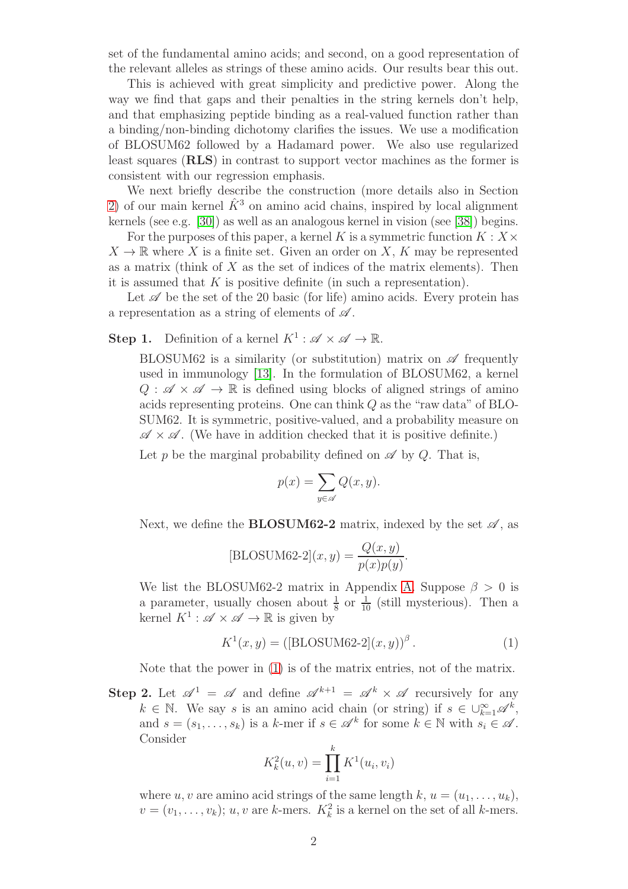set of the fundamental amino acids; and second, on a good representation of the relevant alleles as strings of these amino acids. Our results bear this out.

This is achieved with great simplicity and predictive power. Along the way we find that gaps and their penalties in the string kernels don't help, and that emphasizing peptide binding as a real-valued function rather than a binding/non-binding dichotomy clarifies the issues. We use a modification of BLOSUM62 followed by a Hadamard power. We also use regularized least squares (RLS) in contrast to support vector machines as the former is consistent with our regression emphasis.

We next briefly describe the construction (more details also in Section [2\)](#page-6-0) of our main kernel  $\hat{K}^3$  on amino acid chains, inspired by local alignment kernels (see e.g. [\[30\]](#page-30-3)) as well as an analogous kernel in vision (see [\[38\]](#page-31-0)) begins.

For the purposes of this paper, a kernel K is a symmetric function  $K : X \times Y$  $X \to \mathbb{R}$  where X is a finite set. Given an order on X, K may be represented as a matrix (think of  $X$  as the set of indices of the matrix elements). Then it is assumed that  $K$  is positive definite (in such a representation).

Let  $\mathscr A$  be the set of the 20 basic (for life) amino acids. Every protein has a representation as a string of elements of  $\mathscr A$ .

**Step 1.** Definition of a kernel  $K^1 : \mathscr{A} \times \mathscr{A} \to \mathbb{R}$ .

BLOSUM62 is a similarity (or substitution) matrix on  $\mathscr A$  frequently used in immunology [\[13\]](#page-29-1). In the formulation of BLOSUM62, a kernel  $Q : \mathscr{A} \times \mathscr{A} \to \mathbb{R}$  is defined using blocks of aligned strings of amino acids representing proteins. One can think Q as the "raw data" of BLO-SUM62. It is symmetric, positive-valued, and a probability measure on  $\mathscr{A} \times \mathscr{A}$ . (We have in addition checked that it is positive definite.)

Let p be the marginal probability defined on  $\mathscr A$  by Q. That is,

$$
p(x) = \sum_{y \in \mathscr{A}} Q(x, y).
$$

Next, we define the **BLOSUM62-2** matrix, indexed by the set  $\mathscr{A}$ , as

$$
[\text{BLOSUM62-2}](x, y) = \frac{Q(x, y)}{p(x)p(y)}.
$$

We list the BLOSUM62-2 matrix in Appendix [A.](#page-26-0) Suppose  $\beta > 0$  is a parameter, usually chosen about  $\frac{1}{8}$  or  $\frac{1}{10}$  (still mysterious). Then a kernel  $K^1: \mathscr{A} \times \mathscr{A} \to \mathbb{R}$  is given by

<span id="page-1-0"></span>
$$
K^{1}(x, y) = ([BLOSUM62-2](x, y))^{3}.
$$
 (1)

Note that the power in [\(1\)](#page-1-0) is of the matrix entries, not of the matrix.

**Step 2.** Let  $\mathscr{A}^1 = \mathscr{A}$  and define  $\mathscr{A}^{k+1} = \mathscr{A}^k \times \mathscr{A}$  recursively for any  $k \in \mathbb{N}$ . We say s is an amino acid chain (or string) if  $s \in \bigcup_{k=1}^{\infty} \mathscr{A}^k$ , and  $s = (s_1, \ldots, s_k)$  is a k-mer if  $s \in \mathcal{A}^k$  for some  $k \in \mathbb{N}$  with  $s_i \in \mathcal{A}$ . Consider

$$
K_k^2(u, v) = \prod_{i=1}^k K^1(u_i, v_i)
$$

where u, v are amino acid strings of the same length k,  $u = (u_1, \ldots, u_k)$ ,  $v = (v_1, \ldots, v_k); u, v$  are k-mers.  $K_k^2$  is a kernel on the set of all k-mers.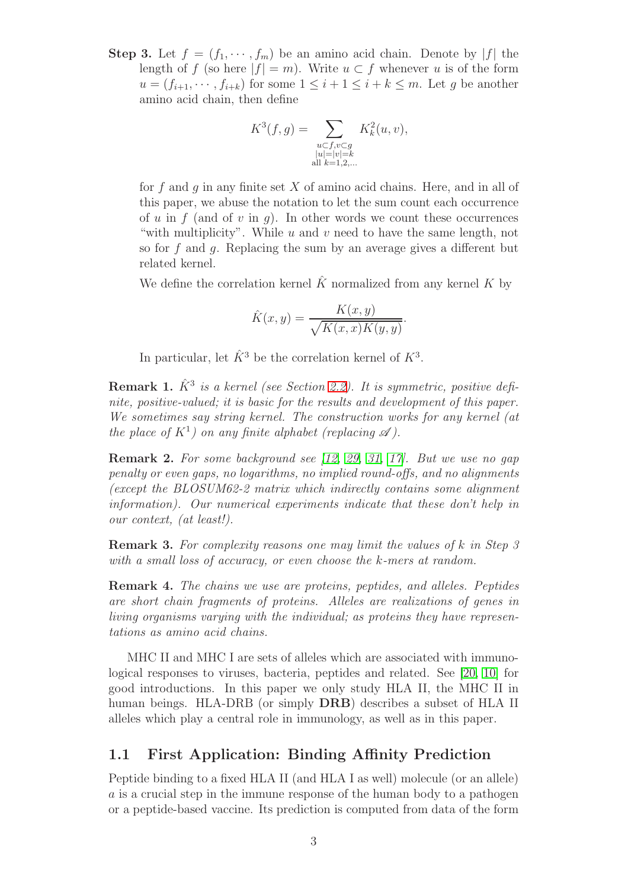**Step 3.** Let  $f = (f_1, \dots, f_m)$  be an amino acid chain. Denote by |f| the length of f (so here  $|f| = m$ ). Write  $u \subset f$  whenever u is of the form  $u = (f_{i+1}, \dots, f_{i+k})$  for some  $1 \leq i+1 \leq i+k \leq m$ . Let g be another amino acid chain, then define

$$
K^{3}(f,g) = \sum_{\substack{u \subset f, v \subset g \\ |u| = |v| = k \\ \text{all } k = 1,2,...}} K_{k}^{2}(u, v),
$$

for f and q in any finite set  $X$  of amino acid chains. Here, and in all of this paper, we abuse the notation to let the sum count each occurrence of u in f (and of v in q). In other words we count these occurrences "with multiplicity". While  $u$  and  $v$  need to have the same length, not so for f and g. Replacing the sum by an average gives a different but related kernel.

We define the correlation kernel  $\hat{K}$  normalized from any kernel K by

$$
\hat{K}(x, y) = \frac{K(x, y)}{\sqrt{K(x, x)K(y, y)}}.
$$

In particular, let  $\hat{K}^3$  be the correlation kernel of  $K^3$ .

**Remark 1.**  $\hat{K}^3$  is a kernel (see Section [2.2\)](#page-8-0). It is symmetric, positive definite, positive-valued; it is basic for the results and development of this paper. We sometimes say string kernel. The construction works for any kernel (at the place of  $K^1$ ) on any finite alphabet (replacing  $\mathscr A$ ).

Remark 2. For some background see [\[12,](#page-29-2) [29,](#page-30-4) [31,](#page-30-5) [17\]](#page-29-3). But we use no gap penalty or even gaps, no logarithms, no implied round-offs, and no alignments (except the BLOSUM62-2 matrix which indirectly contains some alignment information). Our numerical experiments indicate that these don't help in our context, (at least!).

Remark 3. For complexity reasons one may limit the values of k in Step 3 with a small loss of accuracy, or even choose the k-mers at random.

Remark 4. The chains we use are proteins, peptides, and alleles. Peptides are short chain fragments of proteins. Alleles are realizations of genes in living organisms varying with the individual; as proteins they have representations as amino acid chains.

MHC II and MHC I are sets of alleles which are associated with immunological responses to viruses, bacteria, peptides and related. See [\[20,](#page-29-4) [10\]](#page-29-5) for good introductions. In this paper we only study HLA II, the MHC II in human beings. HLA-DRB (or simply DRB) describes a subset of HLA II alleles which play a central role in immunology, as well as in this paper.

### 1.1 First Application: Binding Affinity Prediction

Peptide binding to a fixed HLA II (and HLA I as well) molecule (or an allele) a is a crucial step in the immune response of the human body to a pathogen or a peptide-based vaccine. Its prediction is computed from data of the form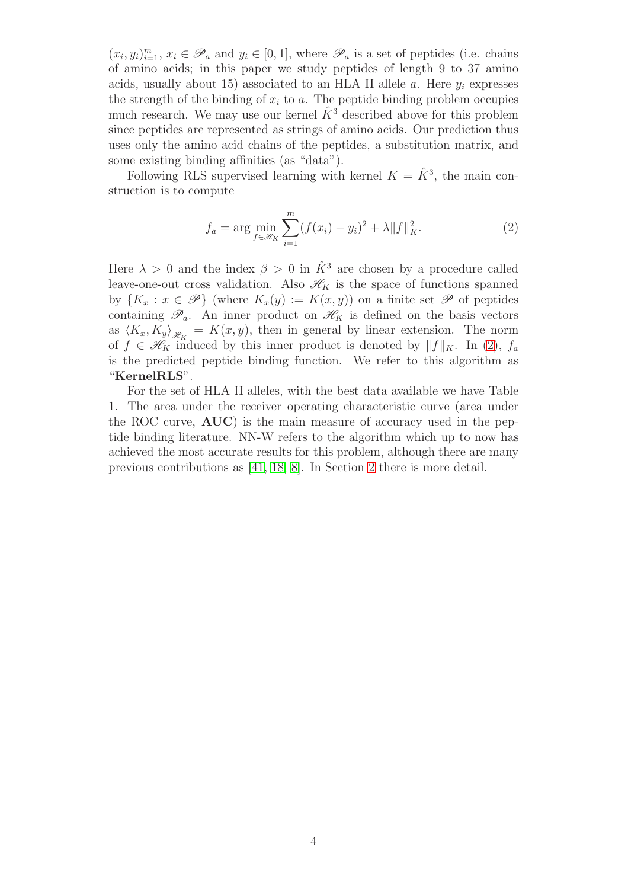$(x_i, y_i)_{i=1}^m$ ,  $x_i \in \mathscr{P}_a$  and  $y_i \in [0, 1]$ , where  $\mathscr{P}_a$  is a set of peptides (i.e. chains of amino acids; in this paper we study peptides of length 9 to 37 amino acids, usually about 15) associated to an HLA II allele a. Here  $y_i$  expresses the strength of the binding of  $x_i$  to a. The peptide binding problem occupies much research. We may use our kernel  $\hat{K}^3$  described above for this problem since peptides are represented as strings of amino acids. Our prediction thus uses only the amino acid chains of the peptides, a substitution matrix, and some existing binding affinities (as "data").

Following RLS supervised learning with kernel  $K = \hat{K}^3$ , the main construction is to compute

<span id="page-3-0"></span>
$$
f_a = \arg\min_{f \in \mathcal{H}_K} \sum_{i=1}^m (f(x_i) - y_i)^2 + \lambda \|f\|_K^2.
$$
 (2)

Here  $\lambda > 0$  and the index  $\beta > 0$  in  $\hat{K}^3$  are chosen by a procedure called leave-one-out cross validation. Also  $\mathcal{H}_K$  is the space of functions spanned by  ${K_x : x \in \mathscr{P}}$  (where  $K_x(y) := K(x, y)$ ) on a finite set  $\mathscr{P}$  of peptides containing  $\mathscr{P}_a$ . An inner product on  $\mathscr{H}_K$  is defined on the basis vectors as  $\langle K_x, K_y \rangle_{\mathscr{H}_K} = K(x, y)$ , then in general by linear extension. The norm of  $f \in \mathscr{H}_K$  induced by this inner product is denoted by  $||f||_K$ . In [\(2\)](#page-3-0),  $f_a$ is the predicted peptide binding function. We refer to this algorithm as "KernelRLS".

For the set of HLA II alleles, with the best data available we have Table 1. The area under the receiver operating characteristic curve (area under the ROC curve, AUC) is the main measure of accuracy used in the peptide binding literature. NN-W refers to the algorithm which up to now has achieved the most accurate results for this problem, although there are many previous contributions as [\[41,](#page-31-1) [18,](#page-29-6) [8\]](#page-28-0). In Section [2](#page-6-0) there is more detail.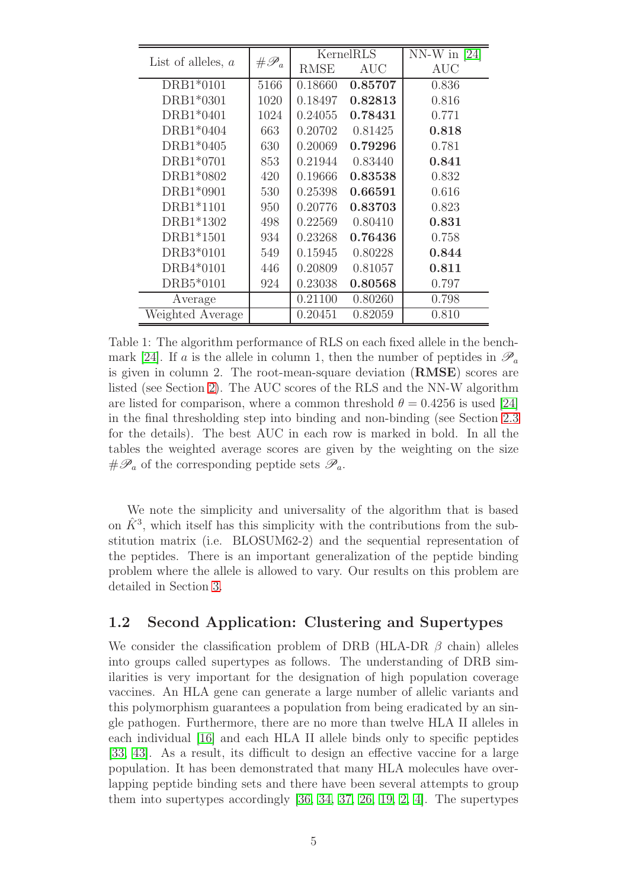| List of alleles, $a$ | $# \mathscr{P}_a$ |             | KernelRLS  | NN-W in $[24]$ |
|----------------------|-------------------|-------------|------------|----------------|
|                      |                   | <b>RMSE</b> | <b>AUC</b> | AUC            |
| DRB1*0101            | 5166              | 0.18660     | 0.85707    | 0.836          |
| DRB1*0301            | 1020              | 0.18497     | 0.82813    | 0.816          |
| DRB1*0401            | 1024              | 0.24055     | 0.78431    | 0.771          |
| DRB1*0404            | 663               | 0.20702     | 0.81425    | 0.818          |
| DRB1*0405            | 630               | 0.20069     | 0.79296    | 0.781          |
| DRB1*0701            | 853               | 0.21944     | 0.83440    | 0.841          |
| DRB1*0802            | 420               | 0.19666     | 0.83538    | 0.832          |
| DRB1*0901            | 530               | 0.25398     | 0.66591    | 0.616          |
| DRB1*1101            | 950               | 0.20776     | 0.83703    | 0.823          |
| DRB1*1302            | 498               | 0.22569     | 0.80410    | 0.831          |
| DRB1*1501            | 934               | 0.23268     | 0.76436    | 0.758          |
| DRB3*0101            | 549               | 0.15945     | 0.80228    | 0.844          |
| DRB4*0101            | 446               | 0.20809     | 0.81057    | 0.811          |
| DRB5*0101            | 924               | 0.23038     | 0.80568    | 0.797          |
| Average              |                   | 0.21100     | 0.80260    | 0.798          |
| Weighted Average     |                   | 0.20451     | 0.82059    | 0.810          |

<span id="page-4-0"></span>Table 1: The algorithm performance of RLS on each fixed allele in the bench-mark [\[24\]](#page-30-0). If a is the allele in column 1, then the number of peptides in  $\mathscr{P}_a$ is given in column 2. The root-mean-square deviation (RMSE) scores are listed (see Section [2\)](#page-6-0). The AUC scores of the RLS and the NN-W algorithm are listed for comparison, where a common threshold  $\theta = 0.4256$  is used [\[24\]](#page-30-0) in the final thresholding step into binding and non-binding (see Section [2.3](#page-10-0) for the details). The best AUC in each row is marked in bold. In all the tables the weighted average scores are given by the weighting on the size  $\# \mathscr{P}_a$  of the corresponding peptide sets  $\mathscr{P}_a$ .

We note the simplicity and universality of the algorithm that is based on  $\hat{K}^3$ , which itself has this simplicity with the contributions from the substitution matrix (i.e. BLOSUM62-2) and the sequential representation of the peptides. There is an important generalization of the peptide binding problem where the allele is allowed to vary. Our results on this problem are detailed in Section [3.](#page-12-0)

### <span id="page-4-1"></span>1.2 Second Application: Clustering and Supertypes

We consider the classification problem of DRB (HLA-DR  $\beta$  chain) alleles into groups called supertypes as follows. The understanding of DRB similarities is very important for the designation of high population coverage vaccines. An HLA gene can generate a large number of allelic variants and this polymorphism guarantees a population from being eradicated by an single pathogen. Furthermore, there are no more than twelve HLA II alleles in each individual [\[16\]](#page-29-7) and each HLA II allele binds only to specific peptides [\[33,](#page-30-6) [43\]](#page-31-2). As a result, its difficult to design an effective vaccine for a large population. It has been demonstrated that many HLA molecules have overlapping peptide binding sets and there have been several attempts to group them into supertypes accordingly [\[36,](#page-31-3) [34,](#page-31-4) [37,](#page-31-5) [26,](#page-30-7) [19,](#page-29-8) [2,](#page-28-1) [4\]](#page-28-2). The supertypes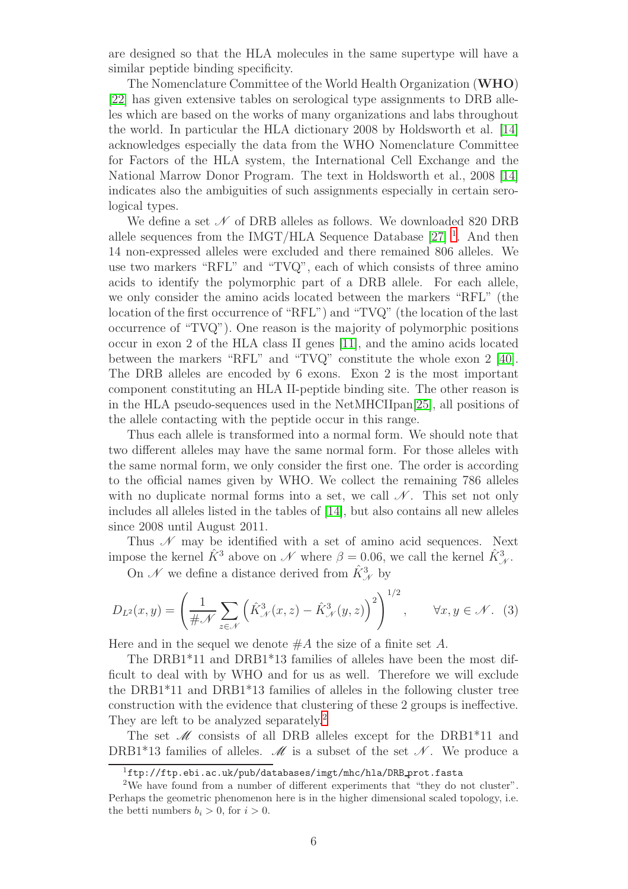are designed so that the HLA molecules in the same supertype will have a similar peptide binding specificity.

The Nomenclature Committee of the World Health Organization (WHO) [\[22\]](#page-30-2) has given extensive tables on serological type assignments to DRB alleles which are based on the works of many organizations and labs throughout the world. In particular the HLA dictionary 2008 by Holdsworth et al. [\[14\]](#page-29-0) acknowledges especially the data from the WHO Nomenclature Committee for Factors of the HLA system, the International Cell Exchange and the National Marrow Donor Program. The text in Holdsworth et al., 2008 [\[14\]](#page-29-0) indicates also the ambiguities of such assignments especially in certain serological types.

We define a set  $\mathcal N$  of DRB alleles as follows. We downloaded 820 DRB allele sequences from the IMGT/HLA Sequence Database  $[27]$ <sup>[1](#page-5-0)</sup>. And then 14 non-expressed alleles were excluded and there remained 806 alleles. We use two markers "RFL" and "TVQ", each of which consists of three amino acids to identify the polymorphic part of a DRB allele. For each allele, we only consider the amino acids located between the markers "RFL" (the location of the first occurrence of "RFL") and "TVQ" (the location of the last occurrence of "TVQ"). One reason is the majority of polymorphic positions occur in exon 2 of the HLA class II genes [\[11\]](#page-29-9), and the amino acids located between the markers "RFL" and "TVQ" constitute the whole exon 2 [\[40\]](#page-31-6). The DRB alleles are encoded by 6 exons. Exon 2 is the most important component constituting an HLA II-peptide binding site. The other reason is in the HLA pseudo-sequences used in the NetMHCIIpan[\[25\]](#page-30-9), all positions of the allele contacting with the peptide occur in this range.

Thus each allele is transformed into a normal form. We should note that two different alleles may have the same normal form. For those alleles with the same normal form, we only consider the first one. The order is according to the official names given by WHO. We collect the remaining 786 alleles with no duplicate normal forms into a set, we call  $\mathcal N$ . This set not only includes all alleles listed in the tables of [\[14\]](#page-29-0), but also contains all new alleles since 2008 until August 2011.

Thus  $\mathscr N$  may be identified with a set of amino acid sequences. Next impose the kernel  $\hat{K}^3$  above on  $\mathscr N$  where  $\beta = 0.06$ , we call the kernel  $\hat{K}_{\mathscr N}^3$ .

On  $\mathcal N$  we define a distance derived from  $\hat K^3_{\mathcal N}$  by

$$
D_{L^2}(x,y) = \left(\frac{1}{\#\mathcal{N}} \sum_{z \in \mathcal{N}} \left(\hat{K}^3_{\mathcal{N}}(x,z) - \hat{K}^3_{\mathcal{N}}(y,z)\right)^2\right)^{1/2}, \qquad \forall x, y \in \mathcal{N}.
$$
 (3)

Here and in the sequel we denote  $#A$  the size of a finite set A.

The DRB1\*11 and DRB1\*13 families of alleles have been the most difficult to deal with by WHO and for us as well. Therefore we will exclude the DRB1\*11 and DRB1\*13 families of alleles in the following cluster tree construction with the evidence that clustering of these 2 groups is ineffective. They are left to be analyzed separately.<sup>[2](#page-5-1)</sup>

The set  $\mathcal M$  consists of all DRB alleles except for the DRB1\*11 and DRB1\*13 families of alleles.  $\mathcal M$  is a subset of the set  $\mathcal N$ . We produce a

<span id="page-5-0"></span> $1$ ftp://ftp.ebi.ac.uk/pub/databases/imgt/mhc/hla/DRB prot.fasta

<span id="page-5-1"></span><sup>2</sup>We have found from a number of different experiments that "they do not cluster". Perhaps the geometric phenomenon here is in the higher dimensional scaled topology, i.e. the betti numbers  $b_i > 0$ , for  $i > 0$ .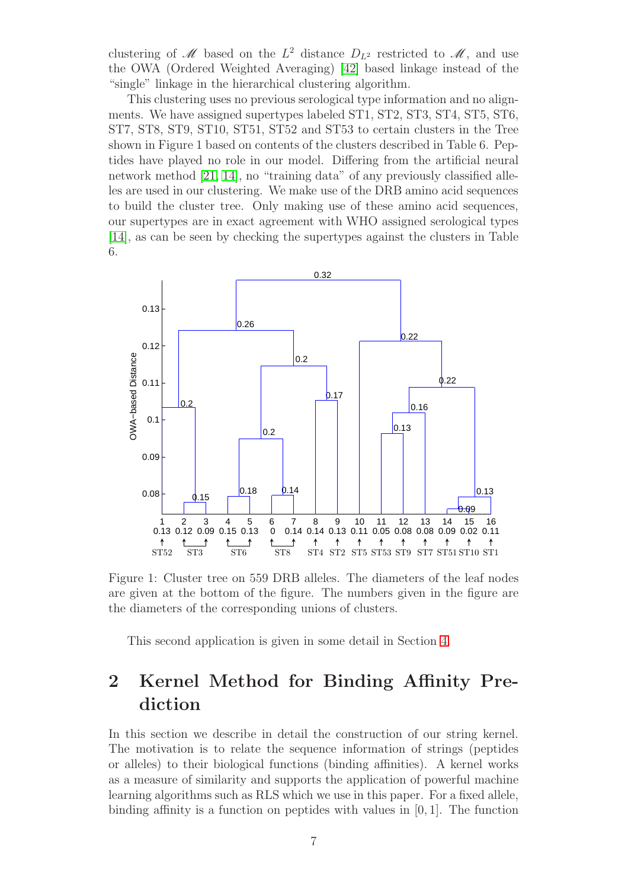clustering of M based on the  $L^2$  distance  $D_{L^2}$  restricted to M, and use the OWA (Ordered Weighted Averaging) [\[42\]](#page-31-7) based linkage instead of the "single" linkage in the hierarchical clustering algorithm.

This clustering uses no previous serological type information and no alignments. We have assigned supertypes labeled ST1, ST2, ST3, ST4, ST5, ST6, ST7, ST8, ST9, ST10, ST51, ST52 and ST53 to certain clusters in the Tree shown in Figure 1 based on contents of the clusters described in Table 6. Peptides have played no role in our model. Differing from the artificial neural network method [\[21,](#page-29-10) [14\]](#page-29-0), no "training data" of any previously classified alleles are used in our clustering. We make use of the DRB amino acid sequences to build the cluster tree. Only making use of these amino acid sequences, our supertypes are in exact agreement with WHO assigned serological types [\[14\]](#page-29-0), as can be seen by checking the supertypes against the clusters in Table 6.



Figure 1: Cluster tree on 559 DRB alleles. The diameters of the leaf nodes are given at the bottom of the figure. The numbers given in the figure are the diameters of the corresponding unions of clusters.

This second application is given in some detail in Section [4.](#page-16-0)

# <span id="page-6-0"></span>2 Kernel Method for Binding Affinity Prediction

In this section we describe in detail the construction of our string kernel. The motivation is to relate the sequence information of strings (peptides or alleles) to their biological functions (binding affinities). A kernel works as a measure of similarity and supports the application of powerful machine learning algorithms such as RLS which we use in this paper. For a fixed allele, binding affinity is a function on peptides with values in [0, 1]. The function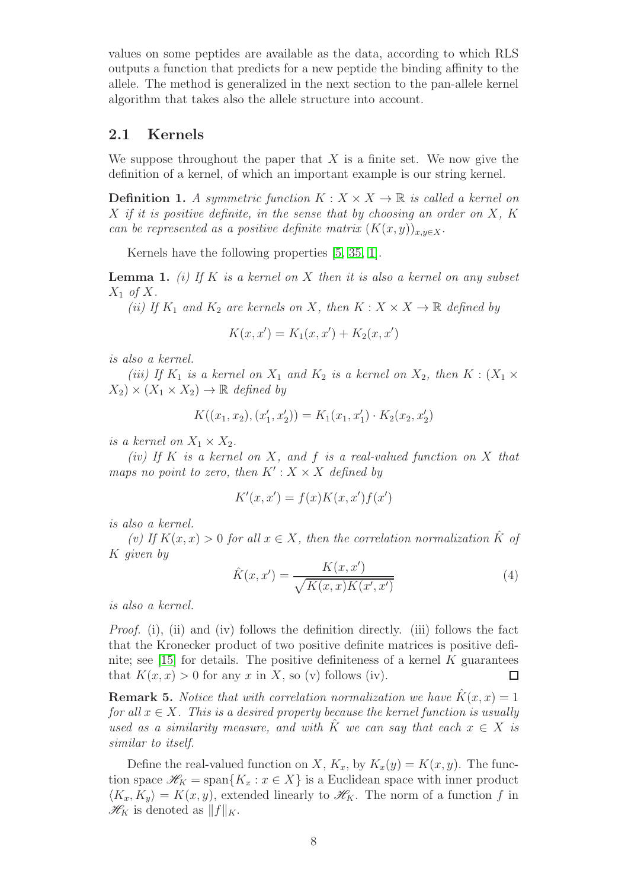values on some peptides are available as the data, according to which RLS outputs a function that predicts for a new peptide the binding affinity to the allele. The method is generalized in the next section to the pan-allele kernel algorithm that takes also the allele structure into account.

### 2.1 Kernels

We suppose throughout the paper that  $X$  is a finite set. We now give the definition of a kernel, of which an important example is our string kernel.

**Definition 1.** A symmetric function  $K : X \times X \to \mathbb{R}$  is called a kernel on  $X$  if it is positive definite, in the sense that by choosing an order on  $X$ ,  $K$ can be represented as a positive definite matrix  $(K(x, y))_{x,y \in X}$ .

Kernels have the following properties [\[5,](#page-28-3) [35,](#page-31-8) [1\]](#page-28-4).

<span id="page-7-0"></span>**Lemma 1.** (i) If K is a kernel on X then it is also a kernel on any subset  $X_1$  of X.

(ii) If  $K_1$  and  $K_2$  are kernels on X, then  $K: X \times X \to \mathbb{R}$  defined by

$$
K(x, x') = K_1(x, x') + K_2(x, x')
$$

is also a kernel.

(iii) If  $K_1$  is a kernel on  $X_1$  and  $K_2$  is a kernel on  $X_2$ , then  $K : (X_1 \times$  $(X_2) \times (X_1 \times X_2) \rightarrow \mathbb{R}$  defined by

$$
K((x_1, x_2), (x'_1, x'_2)) = K_1(x_1, x'_1) \cdot K_2(x_2, x'_2)
$$

is a kernel on  $X_1 \times X_2$ .

(iv) If K is a kernel on X, and f is a real-valued function on X that maps no point to zero, then  $K': X \times X$  defined by

$$
K'(x, x') = f(x)K(x, x')f(x')
$$

is also a kernel.

(v) If  $K(x, x) > 0$  for all  $x \in X$ , then the correlation normalization  $\hat{K}$  of K given by

$$
\hat{K}(x, x') = \frac{K(x, x')}{\sqrt{K(x, x)K(x', x')}}
$$
(4)

is also a kernel.

*Proof.* (i), (ii) and (iv) follows the definition directly. (iii) follows the fact that the Kronecker product of two positive definite matrices is positive defi-nite; see [\[15\]](#page-29-11) for details. The positive definiteness of a kernel  $K$  guarantees that  $K(x, x) > 0$  for any x in X, so (v) follows (iv).  $\Box$ 

**Remark 5.** Notice that with correlation normalization we have  $\hat{K}(x, x) = 1$ for all  $x \in X$ . This is a desired property because the kernel function is usually used as a similarity measure, and with  $\hat{K}$  we can say that each  $x \in X$  is similar to itself.

Define the real-valued function on X,  $K_x$ , by  $K_x(y) = K(x, y)$ . The function space  $\mathscr{H}_K = \text{span}\{K_x : x \in X\}$  is a Euclidean space with inner product  $\langle K_x, K_y \rangle = K(x, y)$ , extended linearly to  $\mathcal{H}_K$ . The norm of a function f in  $\mathscr{H}_K$  is denoted as  $||f||_K$ .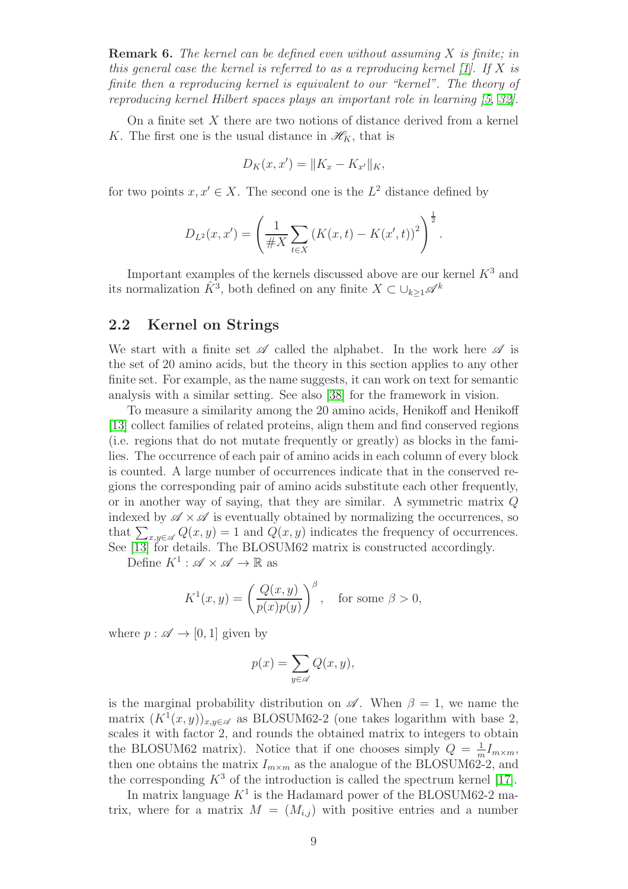**Remark 6.** The kernel can be defined even without assuming  $X$  is finite; in this general case the kernel is referred to as a reproducing kernel  $[1]$ . If X is finite then a reproducing kernel is equivalent to our "kernel". The theory of reproducing kernel Hilbert spaces plays an important role in learning [\[5,](#page-28-3) [32\]](#page-30-10).

On a finite set  $X$  there are two notions of distance derived from a kernel K. The first one is the usual distance in  $\mathscr{H}_K$ , that is

$$
D_K(x, x') = ||K_x - K_{x'}||_K,
$$

for two points  $x, x' \in X$ . The second one is the  $L^2$  distance defined by

$$
D_{L^{2}}(x, x') = \left(\frac{1}{\#X} \sum_{t \in X} (K(x, t) - K(x', t))^{2}\right)^{\frac{1}{2}}.
$$

Important examples of the kernels discussed above are our kernel  $K^3$  and its normalization  $\hat{K}^3$ , both defined on any finite  $X \subset \cup_{k \geq 1} \mathscr{A}^k$ 

#### <span id="page-8-0"></span>2.2 Kernel on Strings

We start with a finite set  $\mathscr A$  called the alphabet. In the work here  $\mathscr A$  is the set of 20 amino acids, but the theory in this section applies to any other finite set. For example, as the name suggests, it can work on text for semantic analysis with a similar setting. See also [\[38\]](#page-31-0) for the framework in vision.

To measure a similarity among the 20 amino acids, Henikoff and Henikoff [\[13\]](#page-29-1) collect families of related proteins, align them and find conserved regions (i.e. regions that do not mutate frequently or greatly) as blocks in the families. The occurrence of each pair of amino acids in each column of every block is counted. A large number of occurrences indicate that in the conserved regions the corresponding pair of amino acids substitute each other frequently, or in another way of saying, that they are similar. A symmetric matrix Q indexed by  $\mathscr{A} \times \mathscr{A}$  is eventually obtained by normalizing the occurrences, so that  $\sum_{x,y\in\mathscr{A}} Q(x,y) = 1$  and  $Q(x, y)$  indicates the frequency of occurrences. See [\[13\]](#page-29-1) for details. The BLOSUM62 matrix is constructed accordingly.

Define  $K^1: \mathscr{A} \times \mathscr{A} \to \mathbb{R}$  as

$$
K^{1}(x, y) = \left(\frac{Q(x, y)}{p(x)p(y)}\right)^{\beta}, \text{ for some } \beta > 0,
$$

where  $p : \mathscr{A} \to [0, 1]$  given by

$$
p(x) = \sum_{y \in \mathscr{A}} Q(x, y),
$$

is the marginal probability distribution on  $\mathscr A$ . When  $\beta = 1$ , we name the matrix  $(K^1(x, y))_{x, y \in \mathcal{A}}$  as BLOSUM62-2 (one takes logarithm with base 2, scales it with factor 2, and rounds the obtained matrix to integers to obtain the BLOSUM62 matrix). Notice that if one chooses simply  $Q = \frac{1}{r}$  $\frac{1}{m}I_{m\times m},$ then one obtains the matrix  $I_{m \times m}$  as the analogue of the BLOSUM62-2, and the corresponding  $K^3$  of the introduction is called the spectrum kernel [\[17\]](#page-29-3).

In matrix language  $K^1$  is the Hadamard power of the BLOSUM62-2 matrix, where for a matrix  $M = (M_{i,j})$  with positive entries and a number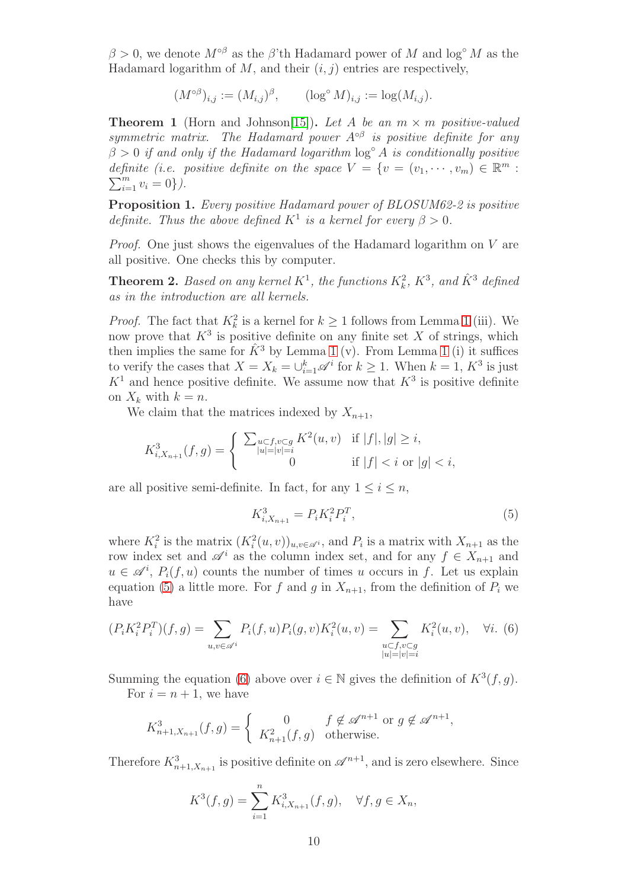$\beta > 0$ , we denote  $M^{\circ \beta}$  as the  $\beta'$ <sup>th</sup> Hadamard power of M and log<sup>°</sup> M as the Hadamard logarithm of  $M$ , and their  $(i, j)$  entries are respectively,

$$
(M^{\circ \beta})_{i,j} := (M_{i,j})^{\beta}, \qquad (\log^{\circ} M)_{i,j} := \log(M_{i,j}).
$$

**Theorem 1** (Horn and Johnson[\[15\]](#page-29-11)). Let A be an  $m \times m$  positive-valued symmetric matrix. The Hadamard power  $A^{\circ\beta}$  is positive definite for any  $\beta > 0$  if and only if the Hadamard logarithm  $\log^{\circ} A$  is conditionally positive definite (i.e. positive definite on the space  $V = \{v = (v_1, \dots, v_m) \in \mathbb{R}^m :$  $\sum_{i=1}^{m} v_i = 0$ .

Proposition 1. Every positive Hadamard power of BLOSUM62-2 is positive definite. Thus the above defined  $K^1$  is a kernel for every  $\beta > 0$ .

Proof. One just shows the eigenvalues of the Hadamard logarithm on V are all positive. One checks this by computer.

**Theorem 2.** Based on any kernel  $K^1$ , the functions  $K_k^2$ ,  $K^3$ , and  $\hat{K}^3$  defined as in the introduction are all kernels.

*Proof.* The fact that  $K_k^2$  is a kernel for  $k \ge 1$  $k \ge 1$  follows from Lemma 1 (iii). We now prove that  $K^3$  is positive definite on any finite set X of strings, which then implies the same for  $\hat{K}^3$  by Lemma [1](#page-7-0) (v). From Lemma 1 (i) it suffices to verify the cases that  $X = X_k = \bigcup_{i=1}^k \mathscr{A}^i$  for  $k \geq 1$ . When  $k = 1, K^3$  is just  $K<sup>1</sup>$  and hence positive definite. We assume now that  $K<sup>3</sup>$  is positive definite on  $X_k$  with  $k = n$ .

We claim that the matrices indexed by  $X_{n+1}$ ,

$$
K_{i,X_{n+1}}^3(f,g) = \begin{cases} \sum_{\substack{u \subset f, v \subset g \\ |u| = |v| = i}} K^2(u,v) & \text{if } |f|, |g| \ge i, \\ 0 & \text{if } |f| < i \text{ or } |g| < i, \end{cases}
$$

are all positive semi-definite. In fact, for any  $1 \leq i \leq n$ ,

<span id="page-9-0"></span>
$$
K_{i,X_{n+1}}^3 = P_i K_i^2 P_i^T,\tag{5}
$$

where  $K_i^2$  is the matrix  $(K_i^2(u, v))_{u, v \in \mathscr{A}^i}$ , and  $P_i$  is a matrix with  $X_{n+1}$  as the row index set and  $\mathscr{A}^i$  as the column index set, and for any  $f \in X_{n+1}$  and  $u \in \mathscr{A}^i$ ,  $P_i(f, u)$  counts the number of times u occurs in f. Let us explain equation [\(5\)](#page-9-0) a little more. For f and g in  $X_{n+1}$ , from the definition of  $P_i$  we have

<span id="page-9-1"></span>
$$
(P_i K_i^2 P_i^T)(f, g) = \sum_{u, v \in \mathscr{A}^i} P_i(f, u) P_i(g, v) K_i^2(u, v) = \sum_{\substack{u \subset f, v \subset g \\ |u| = |v| = i}} K_i^2(u, v), \quad \forall i. \tag{6}
$$

Summing the equation [\(6\)](#page-9-1) above over  $i \in \mathbb{N}$  gives the definition of  $K^3(f, g)$ .

For  $i = n + 1$ , we have

$$
K_{n+1,X_{n+1}}^3(f,g) = \begin{cases} 0 & f \notin \mathscr{A}^{n+1} \text{ or } g \notin \mathscr{A}^{n+1}, \\ K_{n+1}^2(f,g) & \text{otherwise.} \end{cases}
$$

Therefore  $K_{n+1,X_{n+1}}^3$  is positive definite on  $\mathscr{A}^{n+1}$ , and is zero elsewhere. Since

$$
K^{3}(f,g) = \sum_{i=1}^{n} K^{3}_{i,X_{n+1}}(f,g), \quad \forall f, g \in X_{n},
$$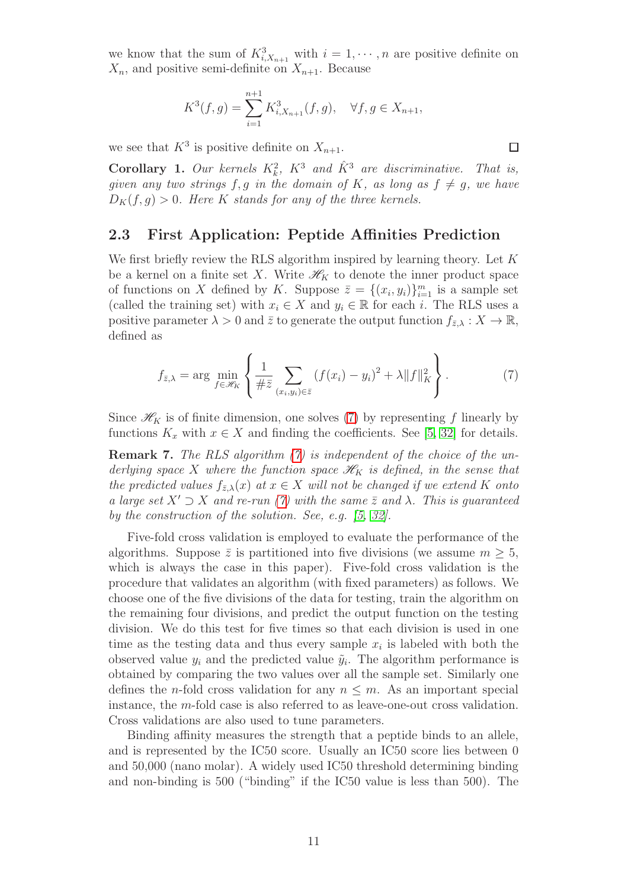we know that the sum of  $K_{i,X_{n+1}}^3$  with  $i=1,\dots,n$  are positive definite on  $X_n$ , and positive semi-definite on  $X_{n+1}$ . Because

$$
K^{3}(f,g) = \sum_{i=1}^{n+1} K^{3}_{i,X_{n+1}}(f,g), \quad \forall f, g \in X_{n+1},
$$

we see that  $K^3$  is positive definite on  $X_{n+1}$ .

**Corollary 1.** Our kernels  $K_k^2$ ,  $K^3$  and  $\hat{K}^3$  are discriminative. That is, given any two strings f, g in the domain of K, as long as  $f \neq g$ , we have  $D_K(f,g) > 0$ . Here K stands for any of the three kernels.

#### <span id="page-10-0"></span>2.3 First Application: Peptide Affinities Prediction

We first briefly review the RLS algorithm inspired by learning theory. Let  $K$ be a kernel on a finite set X. Write  $\mathcal{H}_K$  to denote the inner product space of functions on X defined by K. Suppose  $\overline{z} = \{(x_i, y_i)\}_{i=1}^m$  is a sample set (called the training set) with  $x_i \in X$  and  $y_i \in \mathbb{R}$  for each i. The RLS uses a positive parameter  $\lambda > 0$  and  $\bar{z}$  to generate the output function  $f_{\bar{z},\lambda}: X \to \mathbb{R}$ , defined as

<span id="page-10-1"></span>
$$
f_{\bar{z},\lambda} = \arg \min_{f \in \mathcal{H}_K} \left\{ \frac{1}{\# \bar{z}} \sum_{(x_i,y_i) \in \bar{z}} (f(x_i) - y_i)^2 + \lambda \|f\|_K^2 \right\}.
$$
 (7)

Since  $\mathcal{H}_K$  is of finite dimension, one solves [\(7\)](#page-10-1) by representing f linearly by functions  $K_x$  with  $x \in X$  and finding the coefficients. See [\[5,](#page-28-3) [32\]](#page-30-10) for details.

<span id="page-10-2"></span>**Remark 7.** The RLS algorithm [\(7\)](#page-10-1) is independent of the choice of the underlying space X where the function space  $\mathcal{H}_K$  is defined, in the sense that the predicted values  $f_{\bar{z},\lambda}(x)$  at  $x \in X$  will not be changed if we extend K onto a large set  $X' \supset X$  and re-run [\(7\)](#page-10-1) with the same  $\overline{z}$  and  $\lambda$ . This is guaranteed by the construction of the solution. See, e.g. [\[5,](#page-28-3) [32\]](#page-30-10).

Five-fold cross validation is employed to evaluate the performance of the algorithms. Suppose  $\bar{z}$  is partitioned into five divisions (we assume  $m \geq 5$ , which is always the case in this paper). Five-fold cross validation is the procedure that validates an algorithm (with fixed parameters) as follows. We choose one of the five divisions of the data for testing, train the algorithm on the remaining four divisions, and predict the output function on the testing division. We do this test for five times so that each division is used in one time as the testing data and thus every sample  $x_i$  is labeled with both the observed value  $y_i$  and the predicted value  $\tilde{y}_i$ . The algorithm performance is obtained by comparing the two values over all the sample set. Similarly one defines the *n*-fold cross validation for any  $n \leq m$ . As an important special instance, the m-fold case is also referred to as leave-one-out cross validation. Cross validations are also used to tune parameters.

Binding affinity measures the strength that a peptide binds to an allele, and is represented by the IC50 score. Usually an IC50 score lies between 0 and 50,000 (nano molar). A widely used IC50 threshold determining binding and non-binding is 500 ("binding" if the IC50 value is less than 500). The

 $\Box$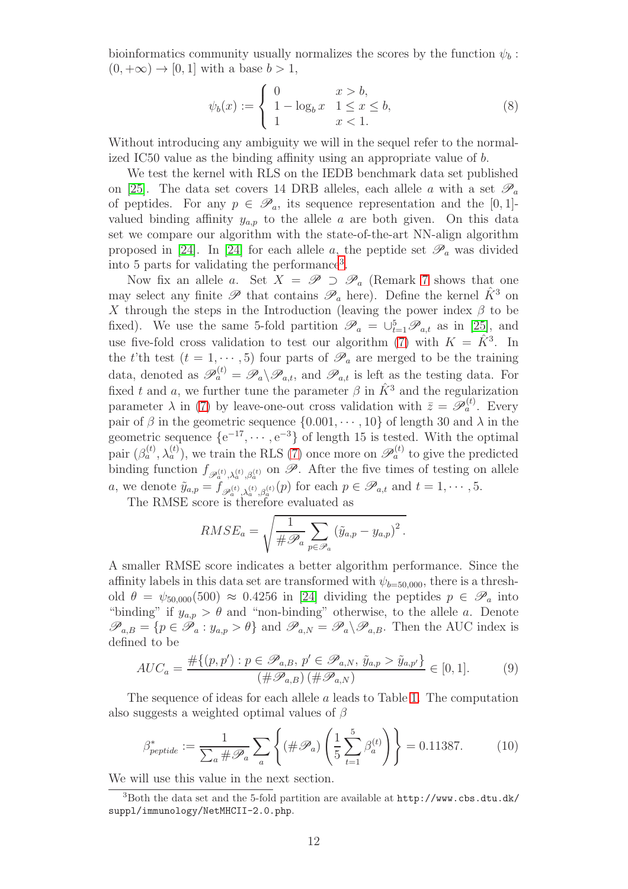bioinformatics community usually normalizes the scores by the function  $\psi_b$ :  $(0, +\infty) \rightarrow [0, 1]$  with a base  $b > 1$ ,

$$
\psi_b(x) := \begin{cases} 0 & x > b, \\ 1 - \log_b x & 1 \le x \le b, \\ 1 & x < 1. \end{cases}
$$
 (8)

Without introducing any ambiguity we will in the sequel refer to the normalized IC50 value as the binding affinity using an appropriate value of b.

We test the kernel with RLS on the IEDB benchmark data set published on [\[25\]](#page-30-9). The data set covers 14 DRB alleles, each allele a with a set  $\mathscr{P}_a$ of peptides. For any  $p \in \mathscr{P}_a$ , its sequence representation and the [0, 1]valued binding affinity  $y_{a,p}$  to the allele a are both given. On this data set we compare our algorithm with the state-of-the-art NN-align algorithm proposed in [\[24\]](#page-30-0). In [24] for each allele a, the peptide set  $\mathscr{P}_a$  was divided into 5 parts for validating the performance[3](#page-11-0) .

Now fix an allele a. Set  $X = \mathscr{P} \supset \mathscr{P}_a$  (Remark [7](#page-10-2) shows that one may select any finite  $\mathscr P$  that contains  $\mathscr P_a$  here). Define the kernel  $\hat K^3$  on X through the steps in the Introduction (leaving the power index  $\beta$  to be fixed). We use the same 5-fold partition  $\mathscr{P}_a = \bigcup_{t=1}^5 \mathscr{P}_{a,t}$  as in [\[25\]](#page-30-9), and use five-fold cross validation to test our algorithm [\(7\)](#page-10-1) with  $K = \hat{K}^3$ . In the t'th test  $(t = 1, \dots, 5)$  four parts of  $\mathscr{P}_a$  are merged to be the training data, denoted as  $\mathscr{P}_a^{(t)} = \mathscr{P}_a \backslash \mathscr{P}_{a,t}$ , and  $\mathscr{P}_{a,t}$  is left as the testing data. For fixed t and a, we further tune the parameter  $\beta$  in  $\hat{K}^3$  and the regularization parameter  $\lambda$  in [\(7\)](#page-10-1) by leave-one-out cross validation with  $\bar{z} = \mathscr{P}_a^{(t)}$ . Every pair of  $\beta$  in the geometric sequence  $\{0.001, \dots, 10\}$  of length 30 and  $\lambda$  in the geometric sequence  $\{e^{-17}, \dots, e^{-3}\}$  of length 15 is tested. With the optimal pair  $(\beta_a^{(t)}, \lambda_a^{(t)})$ , we train the RLS [\(7\)](#page-10-1) once more on  $\mathscr{P}_a^{(t)}$  to give the predicted binding function  $f_{\mathscr{P}_a^{(t)},\lambda_a^{(t)},\beta_a^{(t)}}$  on  $\mathscr{P}$ . After the five times of testing on allele a, we denote  $\tilde{y}_{a,p} = \tilde{f}_{\mathscr{P}_a^{(t)},\lambda_a^{(t)},\beta_a^{(t)}}(p)$  for each  $p \in \mathscr{P}_{a,t}$  and  $t = 1, \cdots, 5$ .

The RMSE score is therefore evaluated as

$$
RMSE_a = \sqrt{\frac{1}{\#\mathscr{P}_a} \sum_{p \in \mathscr{P}_a} (\tilde{y}_{a,p} - y_{a,p})^2}.
$$

A smaller RMSE score indicates a better algorithm performance. Since the affinity labels in this data set are transformed with  $\psi_{b=50,000}$ , there is a threshold  $\theta = \psi_{50,000}(500) \approx 0.4256$  in [\[24\]](#page-30-0) dividing the peptides  $p \in \mathscr{P}_a$  into "binding" if  $y_{a,p} > \theta$  and "non-binding" otherwise, to the allele a. Denote  $\mathscr{P}_{a,B} = \{p \in \mathscr{P}_a : y_{a,p} > \theta\}$  and  $\mathscr{P}_{a,N} = \mathscr{P}_a \backslash \mathscr{P}_{a,B}$ . Then the AUC index is defined to be

<span id="page-11-2"></span>
$$
AUC_a = \frac{\# \{ (p, p') : p \in \mathscr{P}_{a,B}, p' \in \mathscr{P}_{a,N}, \tilde{y}_{a,p} > \tilde{y}_{a,p'} \}}{(\# \mathscr{P}_{a,B}) (\# \mathscr{P}_{a,N})} \in [0, 1].
$$
 (9)

The sequence of ideas for each allele a leads to Table [1.](#page-4-0) The computation also suggests a weighted optimal values of  $\beta$ 

<span id="page-11-1"></span>
$$
\beta_{\text{peptide}}^* := \frac{1}{\sum_a \# \mathscr{P}_a} \sum_a \left\{ (\# \mathscr{P}_a) \left( \frac{1}{5} \sum_{t=1}^5 \beta_a^{(t)} \right) \right\} = 0.11387. \tag{10}
$$

We will use this value in the next section.

<span id="page-11-0"></span><sup>3</sup>Both the data set and the 5-fold partition are available at http://www.cbs.dtu.dk/ suppl/immunology/NetMHCII-2.0.php.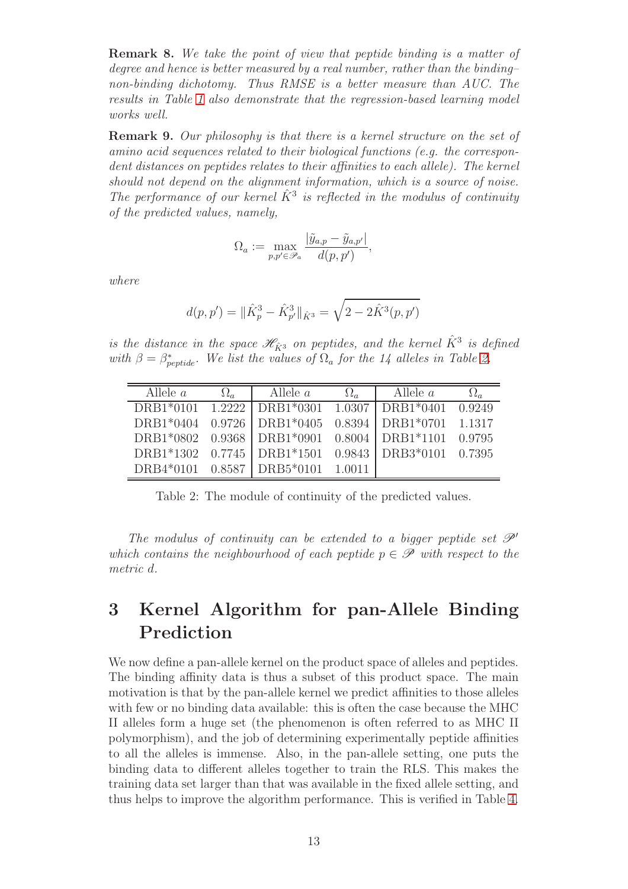Remark 8. We take the point of view that peptide binding is a matter of degree and hence is better measured by a real number, rather than the binding– non-binding dichotomy. Thus RMSE is a better measure than AUC. The results in Table [1](#page-4-0) also demonstrate that the regression-based learning model works well.

Remark 9. Our philosophy is that there is a kernel structure on the set of amino acid sequences related to their biological functions (e.g. the correspondent distances on peptides relates to their affinities to each allele). The kernel should not depend on the alignment information, which is a source of noise. The performance of our kernel  $\hat{K}^3$  is reflected in the modulus of continuity of the predicted values, namely,

$$
\Omega_a := \max_{p,p' \in \mathcal{P}_a} \frac{|\tilde{y}_{a,p} - \tilde{y}_{a,p'}|}{d(p,p')},
$$

where

$$
d(p, p') = \|\hat{K}_p^3 - \hat{K}_{p'}^3\|_{\hat{K}^3} = \sqrt{2 - 2\hat{K}^3(p, p')}
$$

is the distance in the space  $\mathscr{H}_{\hat{K}^3}$  on peptides, and the kernel  $\hat{K}^3$  is defined with  $\beta = \beta_{\text{peptide}}^*$ . We list the values of  $\Omega_a$  for the 14 alleles in Table [2.](#page-12-1)

| Allele $a$ | $\Omega_a$ | Allele <i>a</i>                                 | $\Omega_a$ | Allele $a$ |        |
|------------|------------|-------------------------------------------------|------------|------------|--------|
| DRB1*0101  |            | $1.2222$ DRB1*0301 1.0307 DRB1*0401             |            |            | 0.9249 |
|            |            | DRB1*0404 0.9726   DRB1*0405 0.8394   DRB1*0701 |            |            | 1.1317 |
|            |            | DRB1*0802 0.9368 DRB1*0901 0.8004 DRB1*1101     |            |            | 0.9795 |
|            |            | DRB1*1302 0.7745   DRB1*1501 0.9843   DRB3*0101 |            |            | 0.7395 |
| DRB4*0101  |            | $0.8587$ DRB $5*0101$                           | 1.0011     |            |        |

<span id="page-12-1"></span>Table 2: The module of continuity of the predicted values.

The modulus of continuity can be extended to a bigger peptide set  $\mathscr{P}'$ which contains the neighbourhood of each peptide  $p \in \mathscr{P}$  with respect to the metric d.

# <span id="page-12-0"></span>3 Kernel Algorithm for pan-Allele Binding Prediction

We now define a pan-allele kernel on the product space of alleles and peptides. The binding affinity data is thus a subset of this product space. The main motivation is that by the pan-allele kernel we predict affinities to those alleles with few or no binding data available: this is often the case because the MHC II alleles form a huge set (the phenomenon is often referred to as MHC II polymorphism), and the job of determining experimentally peptide affinities to all the alleles is immense. Also, in the pan-allele setting, one puts the binding data to different alleles together to train the RLS. This makes the training data set larger than that was available in the fixed allele setting, and thus helps to improve the algorithm performance. This is verified in Table [4.](#page-14-0)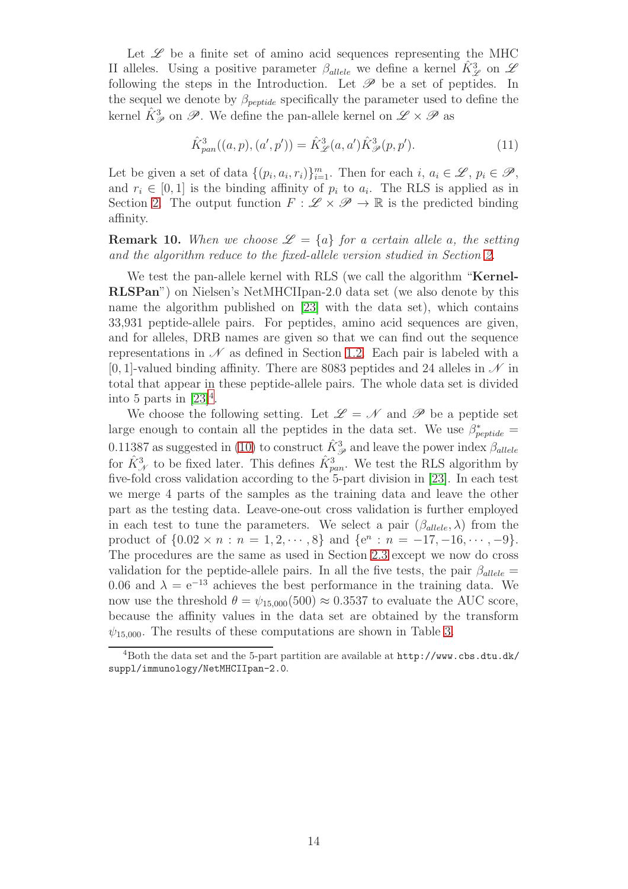Let  $\mathscr L$  be a finite set of amino acid sequences representing the MHC II alleles. Using a positive parameter  $\beta_{\text{allele}}$  we define a kernel  $\hat{K}_{\mathscr{L}}^3$  on  $\mathscr{L}$ following the steps in the Introduction. Let  $\mathscr P$  be a set of peptides. In the sequel we denote by  $\beta_{\text{peptide}}$  specifically the parameter used to define the kernel  $\hat{K}_{\mathscr{P}}^3$  on  $\mathscr{P}.$  We define the pan-allele kernel on  $\mathscr{L}\times \mathscr{P}$  as

<span id="page-13-1"></span>
$$
\hat{K}_{pan}^{3}((a, p), (a', p')) = \hat{K}_{\mathscr{L}}^{3}(a, a')\hat{K}_{\mathscr{P}}^{3}(p, p'). \qquad (11)
$$

Let be given a set of data  $\{(p_i, a_i, r_i)\}_{i=1}^m$ . Then for each  $i, a_i \in \mathscr{L}, p_i \in \mathscr{P},$ and  $r_i \in [0,1]$  is the binding affinity of  $p_i$  to  $a_i$ . The RLS is applied as in Section [2.](#page-6-0) The output function  $F: \mathscr{L} \times \mathscr{P} \to \mathbb{R}$  is the predicted binding affinity.

**Remark 10.** When we choose  $\mathcal{L} = \{a\}$  for a certain allele a, the setting and the algorithm reduce to the fixed-allele version studied in Section [2.](#page-6-0)

We test the pan-allele kernel with RLS (we call the algorithm "**Kernel-**RLSPan") on Nielsen's NetMHCIIpan-2.0 data set (we also denote by this name the algorithm published on [\[23\]](#page-30-1) with the data set), which contains 33,931 peptide-allele pairs. For peptides, amino acid sequences are given, and for alleles, DRB names are given so that we can find out the sequence representations in  $\mathcal N$  as defined in Section [1.2.](#page-4-1) Each pair is labeled with a [0, 1]-valued binding affinity. There are 8083 peptides and 24 alleles in  $\mathcal N$  in total that appear in these peptide-allele pairs. The whole data set is divided into 5 parts in  $[23]^4$  $[23]^4$ .

We choose the following setting. Let  $\mathscr{L} = \mathscr{N}$  and  $\mathscr{P}$  be a peptide set large enough to contain all the peptides in the data set. We use  $\beta_{peptide}^* =$ 0.11387 as suggested in [\(10\)](#page-11-1) to construct  $\hat{K}_{\mathscr{P}}^3$  and leave the power index  $\beta_{allele}$ for  $\hat{K}_{\mathcal{N}}^3$  to be fixed later. This defines  $\hat{K}_{pan}^3$ . We test the RLS algorithm by five-fold cross validation according to the 5-part division in [\[23\]](#page-30-1). In each test we merge 4 parts of the samples as the training data and leave the other part as the testing data. Leave-one-out cross validation is further employed in each test to tune the parameters. We select a pair  $(\beta_{\text{allele}}, \lambda)$  from the product of  $\{0.02 \times n : n = 1, 2, \dots, 8\}$  and  $\{e^n : n = -17, -16, \dots, -9\}.$ The procedures are the same as used in Section [2.3](#page-10-0) except we now do cross validation for the peptide-allele pairs. In all the five tests, the pair  $\beta_{\text{allele}} =$ 0.06 and  $\lambda = e^{-13}$  achieves the best performance in the training data. We now use the threshold  $\theta = \psi_{15,000}(500) \approx 0.3537$  to evaluate the AUC score, because the affinity values in the data set are obtained by the transform  $\psi_{15,000}$ . The results of these computations are shown in Table [3.](#page-14-1)

<span id="page-13-0"></span><sup>4</sup>Both the data set and the 5-part partition are available at http://www.cbs.dtu.dk/ suppl/immunology/NetMHCIIpan-2.0.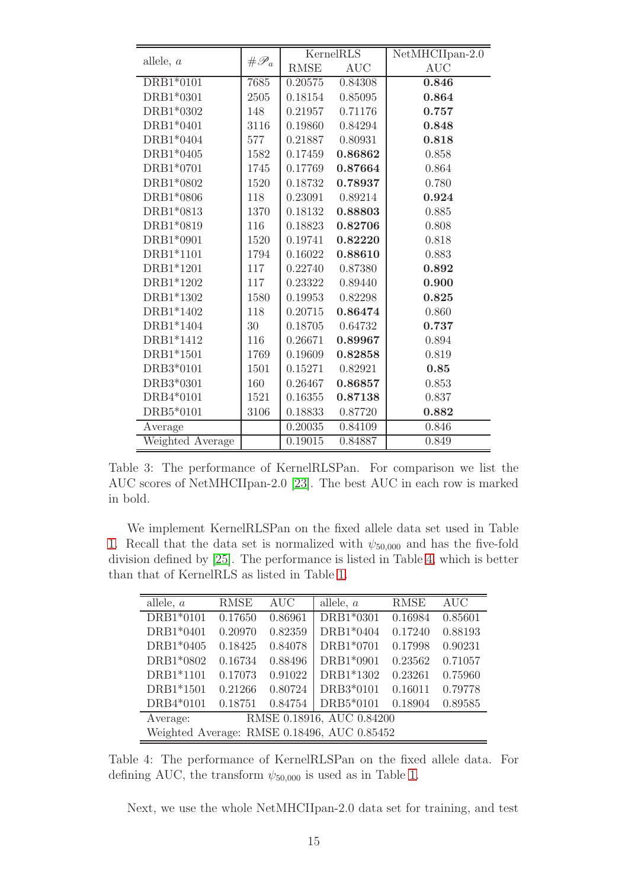|                  |                   |             | KernelRLS  | $\overline{\text{NetMHCI}$ Ipan-2.0 |
|------------------|-------------------|-------------|------------|-------------------------------------|
| allele, $a$      | $# \mathscr{P}_a$ | <b>RMSE</b> | <b>AUC</b> | <b>AUC</b>                          |
| DRB1*0101        | 7685              | 0.20575     | 0.84308    | 0.846                               |
| DRB1*0301        | 2505              | 0.18154     | 0.85095    | 0.864                               |
| DRB1*0302        | 148               | 0.21957     | 0.71176    | 0.757                               |
| DRB1*0401        | 3116              | 0.19860     | 0.84294    | 0.848                               |
| DRB1*0404        | 577               | 0.21887     | 0.80931    | 0.818                               |
| DRB1*0405        | 1582              | 0.17459     | 0.86862    | 0.858                               |
| DRB1*0701        | 1745              | 0.17769     | 0.87664    | 0.864                               |
| DRB1*0802        | 1520              | 0.18732     | 0.78937    | 0.780                               |
| DRB1*0806        | 118               | 0.23091     | 0.89214    | 0.924                               |
| DRB1*0813        | 1370              | 0.18132     | 0.88803    | 0.885                               |
| DRB1*0819        | 116               | 0.18823     | 0.82706    | 0.808                               |
| DRB1*0901        | 1520              | 0.19741     | 0.82220    | 0.818                               |
| DRB1*1101        | 1794              | 0.16022     | 0.88610    | 0.883                               |
| DRB1*1201        | 117               | 0.22740     | 0.87380    | 0.892                               |
| DRB1*1202        | 117               | 0.23322     | 0.89440    | 0.900                               |
| DRB1*1302        | 1580              | 0.19953     | 0.82298    | 0.825                               |
| DRB1*1402        | 118               | 0.20715     | 0.86474    | 0.860                               |
| DRB1*1404        | 30                | 0.18705     | 0.64732    | 0.737                               |
| DRB1*1412        | 116               | 0.26671     | 0.89967    | 0.894                               |
| DRB1*1501        | 1769              | 0.19609     | 0.82858    | 0.819                               |
| DRB3*0101        | 1501              | 0.15271     | 0.82921    | 0.85                                |
| DRB3*0301        | 160               | 0.26467     | 0.86857    | 0.853                               |
| DRB4*0101        | 1521              | 0.16355     | 0.87138    | 0.837                               |
| DRB5*0101        | 3106              | 0.18833     | 0.87720    | 0.882                               |
| Average          |                   | 0.20035     | 0.84109    | 0.846                               |
| Weighted Average |                   | 0.19015     | 0.84887    | 0.849                               |

<span id="page-14-1"></span>Table 3: The performance of KernelRLSPan. For comparison we list the AUC scores of NetMHCIIpan-2.0 [\[23\]](#page-30-1). The best AUC in each row is marked in bold.

We implement KernelRLSPan on the fixed allele data set used in Table [1.](#page-4-0) Recall that the data set is normalized with  $\psi_{50,000}$  and has the five-fold division defined by [\[25\]](#page-30-9). The performance is listed in Table [4,](#page-14-0) which is better than that of KernelRLS as listed in Table [1.](#page-4-0)

| allele, $a$ | <b>RMSE</b> | <b>AUC</b> | allele, $a$                                 | <b>RMSE</b> | <b>AUC</b> |
|-------------|-------------|------------|---------------------------------------------|-------------|------------|
| DRB1*0101   | 0.17650     | 0.86961    | DRB1*0301                                   | 0.16984     | 0.85601    |
| DRB1*0401   | 0.20970     | 0.82359    | DRB1*0404                                   | 0.17240     | 0.88193    |
| DRB1*0405   | 0.18425     | 0.84078    | DRB1*0701                                   | 0.17998     | 0.90231    |
| DRB1*0802   | 0.16734     | 0.88496    | DRB1*0901                                   | 0.23562     | 0.71057    |
| DRB1*1101   | 0.17073     | 0.91022    | DRB1*1302                                   | 0.23261     | 0.75960    |
| DRB1*1501   | 0.21266     | 0.80724    | DRB3*0101                                   | 0.16011     | 0.79778    |
| DRB4*0101   | 0.18751     | 0.84754    | DRB5*0101                                   | 0.18904     | 0.89585    |
| Average:    |             |            | RMSE 0.18916, AUC 0.84200                   |             |            |
|             |             |            | Weighted Average: RMSE 0.18496, AUC 0.85452 |             |            |

Table 4: The performance of KernelRLSPan on the fixed allele data. For defining AUC, the transform  $\psi_{50,000}$  is used as in Table [1.](#page-4-0)

<span id="page-14-0"></span>Next, we use the whole NetMHCIIpan-2.0 data set for training, and test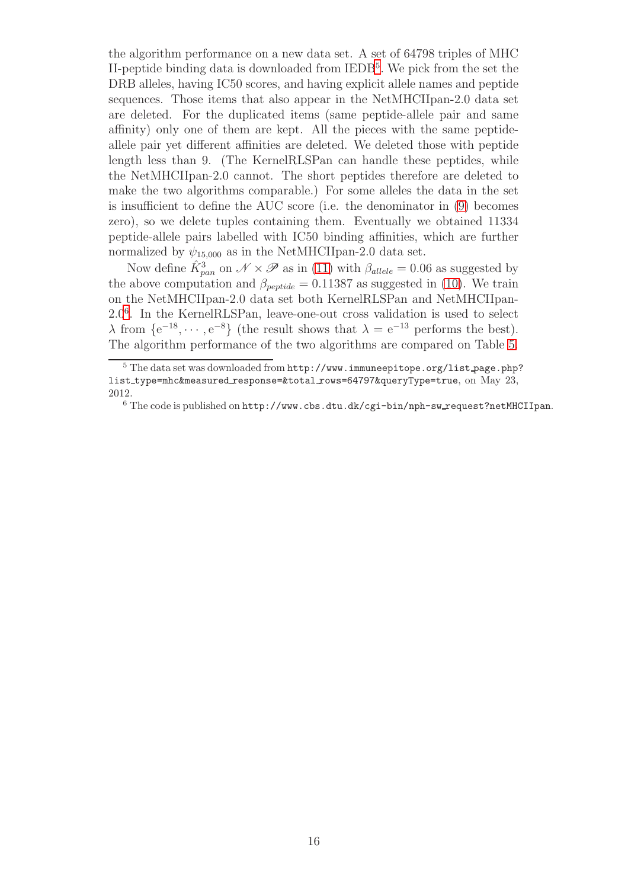the algorithm performance on a new data set. A set of 64798 triples of MHC II-peptide binding data is downloaded from IEDB<sup>[5](#page-15-0)</sup>. We pick from the set the DRB alleles, having IC50 scores, and having explicit allele names and peptide sequences. Those items that also appear in the NetMHCIIpan-2.0 data set are deleted. For the duplicated items (same peptide-allele pair and same affinity) only one of them are kept. All the pieces with the same peptideallele pair yet different affinities are deleted. We deleted those with peptide length less than 9. (The KernelRLSPan can handle these peptides, while the NetMHCIIpan-2.0 cannot. The short peptides therefore are deleted to make the two algorithms comparable.) For some alleles the data in the set is insufficient to define the AUC score (i.e. the denominator in [\(9\)](#page-11-2) becomes zero), so we delete tuples containing them. Eventually we obtained 11334 peptide-allele pairs labelled with IC50 binding affinities, which are further normalized by  $\psi_{15,000}$  as in the NetMHCIIpan-2.0 data set.

Now define  $\hat{K}_{pan}^3$  on  $\mathscr{N} \times \mathscr{P}$  as in [\(11\)](#page-13-1) with  $\beta_{allele} = 0.06$  as suggested by the above computation and  $\beta_{\text{peptide}} = 0.11387$  as suggested in [\(10\)](#page-11-1). We train on the NetMHCIIpan-2.0 data set both KernelRLSPan and NetMHCIIpan-2.0[6](#page-15-1) . In the KernelRLSPan, leave-one-out cross validation is used to select  $\lambda$  from  $\{e^{-18}, \dots, e^{-8}\}$  (the result shows that  $\lambda = e^{-13}$  performs the best). The algorithm performance of the two algorithms are compared on Table [5.](#page-16-1)

<span id="page-15-0"></span> $5$  The data set was downloaded from  $\text{http://www.inmuneepitope.org/list-page.php?}$ list\_type=mhc&measured\_response=&total\_rows=64797&queryType=true, on May 23, 2012.

<span id="page-15-1"></span> $6$  The code is published on http://www.cbs.dtu.dk/cgi-bin/nph-sw request?netMHCIIpan.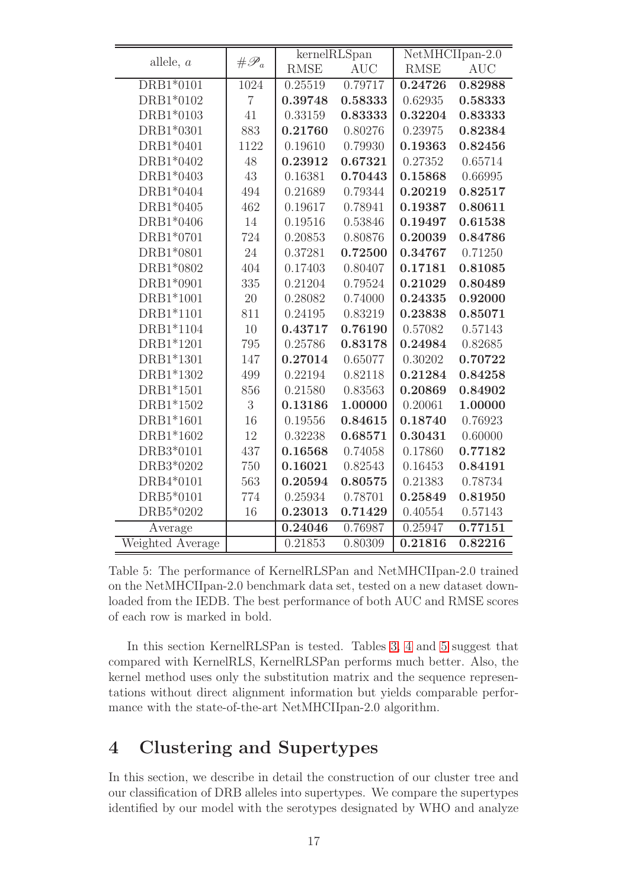|                  |                   |             | $\overline{\text{kernelRLS}}$ pan |             | $\overline{\text{NetMHCI}$ Ipan-2.0 |
|------------------|-------------------|-------------|-----------------------------------|-------------|-------------------------------------|
| allele, $a$      | $# \mathscr{P}_a$ | <b>RMSE</b> | <b>AUC</b>                        | <b>RMSE</b> | <b>AUC</b>                          |
| DRB1*0101        | 1024              | 0.25519     | 0.79717                           | 0.24726     | 0.82988                             |
| DRB1*0102        | $\overline{7}$    | 0.39748     | 0.58333                           | 0.62935     | 0.58333                             |
| DRB1*0103        | 41                | 0.33159     | 0.83333                           | 0.32204     | 0.83333                             |
| DRB1*0301        | 883               | 0.21760     | 0.80276                           | 0.23975     | 0.82384                             |
| DRB1*0401        | 1122              | 0.19610     | 0.79930                           | 0.19363     | 0.82456                             |
| DRB1*0402        | 48                | 0.23912     | 0.67321                           | 0.27352     | 0.65714                             |
| DRB1*0403        | 43                | 0.16381     | 0.70443                           | 0.15868     | 0.66995                             |
| DRB1*0404        | 494               | 0.21689     | 0.79344                           | 0.20219     | 0.82517                             |
| DRB1*0405        | 462               | 0.19617     | 0.78941                           | 0.19387     | 0.80611                             |
| DRB1*0406        | 14                | 0.19516     | 0.53846                           | 0.19497     | 0.61538                             |
| DRB1*0701        | 724               | 0.20853     | 0.80876                           | 0.20039     | 0.84786                             |
| DRB1*0801        | 24                | 0.37281     | 0.72500                           | 0.34767     | 0.71250                             |
| DRB1*0802        | 404               | 0.17403     | 0.80407                           | 0.17181     | 0.81085                             |
| DRB1*0901        | 335               | 0.21204     | 0.79524                           | 0.21029     | 0.80489                             |
| DRB1*1001        | 20                | 0.28082     | 0.74000                           | 0.24335     | 0.92000                             |
| DRB1*1101        | 811               | 0.24195     | 0.83219                           | 0.23838     | 0.85071                             |
| DRB1*1104        | 10                | 0.43717     | 0.76190                           | 0.57082     | 0.57143                             |
| DRB1*1201        | 795               | 0.25786     | 0.83178                           | 0.24984     | 0.82685                             |
| DRB1*1301        | 147               | 0.27014     | 0.65077                           | 0.30202     | 0.70722                             |
| DRB1*1302        | 499               | 0.22194     | 0.82118                           | 0.21284     | 0.84258                             |
| DRB1*1501        | 856               | 0.21580     | 0.83563                           | 0.20869     | 0.84902                             |
| DRB1*1502        | 3                 | 0.13186     | 1.00000                           | 0.20061     | 1.00000                             |
| DRB1*1601        | 16                | 0.19556     | 0.84615                           | 0.18740     | 0.76923                             |
| DRB1*1602        | 12                | 0.32238     | 0.68571                           | 0.30431     | 0.60000                             |
| DRB3*0101        | 437               | 0.16568     | 0.74058                           | 0.17860     | 0.77182                             |
| DRB3*0202        | 750               | 0.16021     | 0.82543                           | 0.16453     | 0.84191                             |
| DRB4*0101        | 563               | 0.20594     | 0.80575                           | 0.21383     | 0.78734                             |
| DRB5*0101        | 774               | 0.25934     | 0.78701                           | 0.25849     | 0.81950                             |
| DRB5*0202        | 16                | 0.23013     | 0.71429                           | 0.40554     | 0.57143                             |
| Average          |                   | 0.24046     | 0.76987                           | 0.25947     | 0.77151                             |
| Weighted Average |                   | 0.21853     | 0.80309                           | 0.21816     | 0.82216                             |

<span id="page-16-1"></span>Table 5: The performance of KernelRLSPan and NetMHCIIpan-2.0 trained on the NetMHCIIpan-2.0 benchmark data set, tested on a new dataset downloaded from the IEDB. The best performance of both AUC and RMSE scores of each row is marked in bold.

In this section KernelRLSPan is tested. Tables [3,](#page-14-1) [4](#page-14-0) and [5](#page-16-1) suggest that compared with KernelRLS, KernelRLSPan performs much better. Also, the kernel method uses only the substitution matrix and the sequence representations without direct alignment information but yields comparable performance with the state-of-the-art NetMHCIIpan-2.0 algorithm.

### <span id="page-16-0"></span>4 Clustering and Supertypes

In this section, we describe in detail the construction of our cluster tree and our classification of DRB alleles into supertypes. We compare the supertypes identified by our model with the serotypes designated by WHO and analyze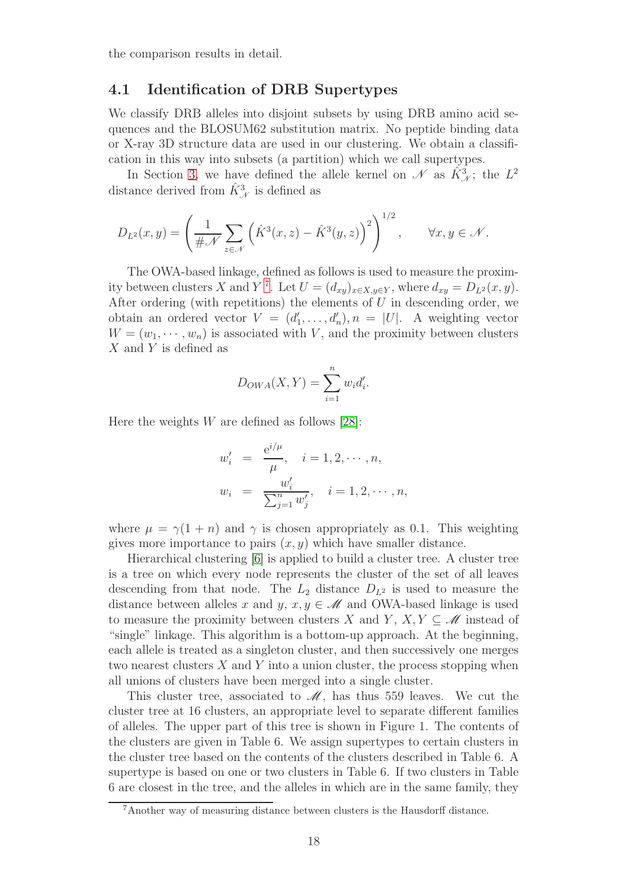the comparison results in detail.

#### 4.1 Identification of DRB Supertypes

We classify DRB alleles into disjoint subsets by using DRB amino acid sequences and the BLOSUM62 substitution matrix. No peptide binding data or X-ray 3D structure data are used in our clustering. We obtain a classification in this way into subsets (a partition) which we call supertypes.

In Section [3,](#page-12-0) we have defined the allele kernel on  $\mathscr N$  as  $\hat K^3_{\mathscr N}$ ; the  $L^2$ distance derived from  $\hat{K}_{\mathscr{N}}^3$  is defined as

$$
D_{L^2}(x,y) = \left(\frac{1}{\#\mathcal{N}} \sum_{z \in \mathcal{N}} \left(\hat{K}^3(x,z) - \hat{K}^3(y,z)\right)^2\right)^{1/2}, \quad \forall x, y \in \mathcal{N}.
$$

The OWA-based linkage, defined as follows is used to measure the proxim-ity between clusters X and Y<sup>[7](#page-17-0)</sup>. Let  $U = (d_{xy})_{x \in X, y \in Y}$ , where  $d_{xy} = D_{L^2}(x, y)$ . After ordering (with repetitions) the elements of  $U$  in descending order, we obtain an ordered vector  $V = (d'_1, \ldots, d'_n), n = |U|$ . A weighting vector  $W = (w_1, \dots, w_n)$  is associated with V, and the proximity between clusters X and Y is defined as

$$
D_{OWA}(X,Y) = \sum_{i=1}^{n} w_i d'_i.
$$

Here the weights  $W$  are defined as follows [\[28\]](#page-30-11):

$$
w'_{i} = \frac{e^{i/\mu}}{\mu}, \quad i = 1, 2, \cdots, n,
$$
  

$$
w_{i} = \frac{w'_{i}}{\sum_{j=1}^{n} w'_{j}}, \quad i = 1, 2, \cdots, n,
$$

where  $\mu = \gamma(1 + n)$  and  $\gamma$  is chosen appropriately as 0.1. This weighting gives more importance to pairs  $(x, y)$  which have smaller distance.

Hierarchical clustering [\[6\]](#page-28-5) is applied to build a cluster tree. A cluster tree is a tree on which every node represents the cluster of the set of all leaves descending from that node. The  $L_2$  distance  $D_{L^2}$  is used to measure the distance between alleles x and y,  $x, y \in \mathcal{M}$  and OWA-based linkage is used to measure the proximity between clusters X and Y,  $X, Y \subseteq \mathcal{M}$  instead of "single" linkage. This algorithm is a bottom-up approach. At the beginning, each allele is treated as a singleton cluster, and then successively one merges two nearest clusters  $X$  and  $Y$  into a union cluster, the process stopping when all unions of clusters have been merged into a single cluster.

This cluster tree, associated to  $\mathcal{M}$ , has thus 559 leaves. We cut the cluster tree at 16 clusters, an appropriate level to separate different families of alleles. The upper part of this tree is shown in Figure 1. The contents of the clusters are given in Table 6. We assign supertypes to certain clusters in the cluster tree based on the contents of the clusters described in Table 6. A supertype is based on one or two clusters in Table 6. If two clusters in Table 6 are closest in the tree, and the alleles in which are in the same family, they

<span id="page-17-0"></span><sup>7</sup>Another way of measuring distance between clusters is the Hausdorff distance.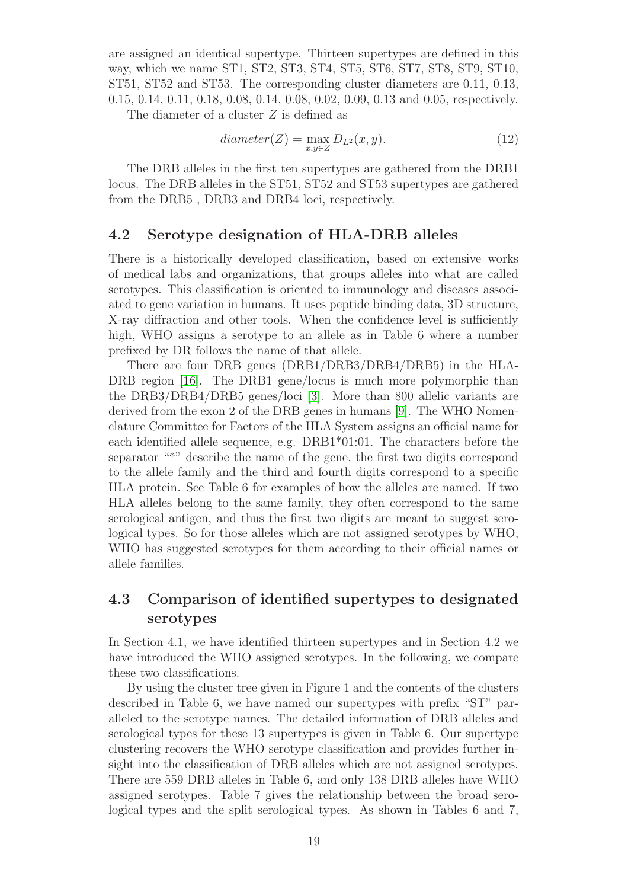are assigned an identical supertype. Thirteen supertypes are defined in this way, which we name ST1, ST2, ST3, ST4, ST5, ST6, ST7, ST8, ST9, ST10, ST51, ST52 and ST53. The corresponding cluster diameters are 0.11, 0.13, 0.15, 0.14, 0.11, 0.18, 0.08, 0.14, 0.08, 0.02, 0.09, 0.13 and 0.05, respectively.

The diameter of a cluster Z is defined as

$$
diameter(Z) = \max_{x,y \in Z} D_{L^2}(x, y). \tag{12}
$$

The DRB alleles in the first ten supertypes are gathered from the DRB1 locus. The DRB alleles in the ST51, ST52 and ST53 supertypes are gathered from the DRB5 , DRB3 and DRB4 loci, respectively.

#### 4.2 Serotype designation of HLA-DRB alleles

There is a historically developed classification, based on extensive works of medical labs and organizations, that groups alleles into what are called serotypes. This classification is oriented to immunology and diseases associated to gene variation in humans. It uses peptide binding data, 3D structure, X-ray diffraction and other tools. When the confidence level is sufficiently high, WHO assigns a serotype to an allele as in Table 6 where a number prefixed by DR follows the name of that allele.

There are four DRB genes (DRB1/DRB3/DRB4/DRB5) in the HLA-DRB region [\[16\]](#page-29-7). The DRB1 gene/locus is much more polymorphic than the DRB3/DRB4/DRB5 genes/loci [\[3\]](#page-28-6). More than 800 allelic variants are derived from the exon 2 of the DRB genes in humans [\[9\]](#page-29-12). The WHO Nomenclature Committee for Factors of the HLA System assigns an official name for each identified allele sequence, e.g. DRB1\*01:01. The characters before the separator "\*" describe the name of the gene, the first two digits correspond to the allele family and the third and fourth digits correspond to a specific HLA protein. See Table 6 for examples of how the alleles are named. If two HLA alleles belong to the same family, they often correspond to the same serological antigen, and thus the first two digits are meant to suggest serological types. So for those alleles which are not assigned serotypes by WHO, WHO has suggested serotypes for them according to their official names or allele families.

### 4.3 Comparison of identified supertypes to designated serotypes

In Section 4.1, we have identified thirteen supertypes and in Section 4.2 we have introduced the WHO assigned serotypes. In the following, we compare these two classifications.

By using the cluster tree given in Figure 1 and the contents of the clusters described in Table 6, we have named our supertypes with prefix "ST" paralleled to the serotype names. The detailed information of DRB alleles and serological types for these 13 supertypes is given in Table 6. Our supertype clustering recovers the WHO serotype classification and provides further insight into the classification of DRB alleles which are not assigned serotypes. There are 559 DRB alleles in Table 6, and only 138 DRB alleles have WHO assigned serotypes. Table 7 gives the relationship between the broad serological types and the split serological types. As shown in Tables 6 and 7,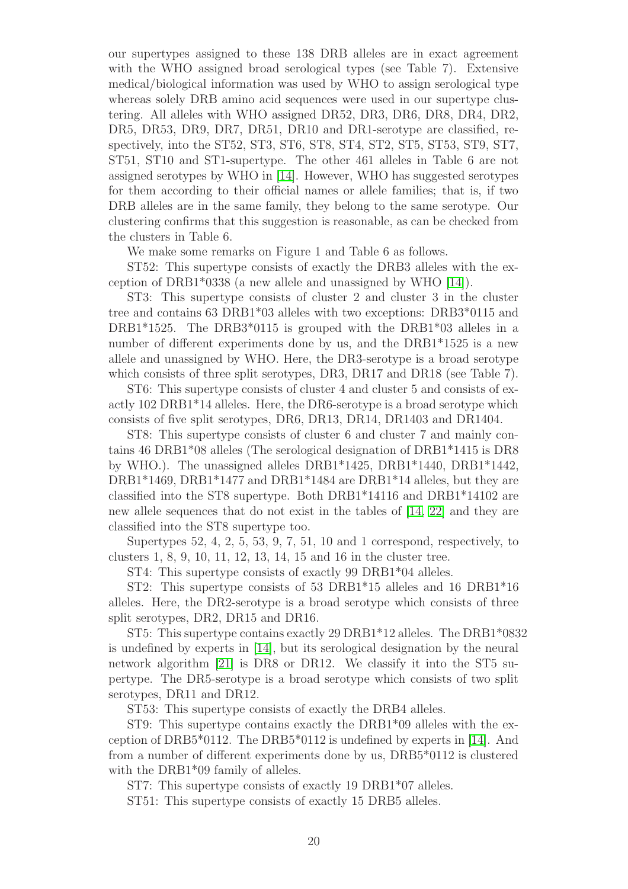our supertypes assigned to these 138 DRB alleles are in exact agreement with the WHO assigned broad serological types (see Table 7). Extensive medical/biological information was used by WHO to assign serological type whereas solely DRB amino acid sequences were used in our supertype clustering. All alleles with WHO assigned DR52, DR3, DR6, DR8, DR4, DR2, DR5, DR53, DR9, DR7, DR51, DR10 and DR1-serotype are classified, respectively, into the ST52, ST3, ST6, ST8, ST4, ST2, ST5, ST53, ST9, ST7, ST51, ST10 and ST1-supertype. The other 461 alleles in Table 6 are not assigned serotypes by WHO in [\[14\]](#page-29-0). However, WHO has suggested serotypes for them according to their official names or allele families; that is, if two DRB alleles are in the same family, they belong to the same serotype. Our clustering confirms that this suggestion is reasonable, as can be checked from the clusters in Table 6.

We make some remarks on Figure 1 and Table 6 as follows.

ST52: This supertype consists of exactly the DRB3 alleles with the exception of DRB1\*0338 (a new allele and unassigned by WHO [\[14\]](#page-29-0)).

ST3: This supertype consists of cluster 2 and cluster 3 in the cluster tree and contains 63 DRB1\*03 alleles with two exceptions: DRB3\*0115 and DRB1\*1525. The DRB3\*0115 is grouped with the DRB1\*03 alleles in a number of different experiments done by us, and the DRB1\*1525 is a new allele and unassigned by WHO. Here, the DR3-serotype is a broad serotype which consists of three split serotypes, DR3, DR17 and DR18 (see Table 7).

ST6: This supertype consists of cluster 4 and cluster 5 and consists of exactly 102 DRB1\*14 alleles. Here, the DR6-serotype is a broad serotype which consists of five split serotypes, DR6, DR13, DR14, DR1403 and DR1404.

ST8: This supertype consists of cluster 6 and cluster 7 and mainly contains 46 DRB1\*08 alleles (The serological designation of DRB1\*1415 is DR8 by WHO.). The unassigned alleles DRB1\*1425, DRB1\*1440, DRB1\*1442, DRB1\*1469, DRB1\*1477 and DRB1\*1484 are DRB1\*14 alleles, but they are classified into the ST8 supertype. Both DRB1\*14116 and DRB1\*14102 are new allele sequences that do not exist in the tables of [\[14,](#page-29-0) [22\]](#page-30-2) and they are classified into the ST8 supertype too.

Supertypes  $52, 4, 2, 5, 53, 9, 7, 51, 10$  and 1 correspond, respectively, to clusters 1, 8, 9, 10, 11, 12, 13, 14, 15 and 16 in the cluster tree.

ST4: This supertype consists of exactly 99 DRB1\*04 alleles.

ST2: This supertype consists of 53 DRB1\*15 alleles and 16 DRB1\*16 alleles. Here, the DR2-serotype is a broad serotype which consists of three split serotypes, DR2, DR15 and DR16.

ST5: This supertype contains exactly 29 DRB1\*12 alleles. The DRB1\*0832 is undefined by experts in [\[14\]](#page-29-0), but its serological designation by the neural network algorithm [\[21\]](#page-29-10) is DR8 or DR12. We classify it into the ST5 supertype. The DR5-serotype is a broad serotype which consists of two split serotypes, DR11 and DR12.

ST53: This supertype consists of exactly the DRB4 alleles.

ST9: This supertype contains exactly the DRB1\*09 alleles with the exception of DRB5\*0112. The DRB5\*0112 is undefined by experts in [\[14\]](#page-29-0). And from a number of different experiments done by us, DRB5\*0112 is clustered with the DRB1<sup>\*</sup>09 family of alleles.

ST7: This supertype consists of exactly 19 DRB1\*07 alleles.

ST51: This supertype consists of exactly 15 DRB5 alleles.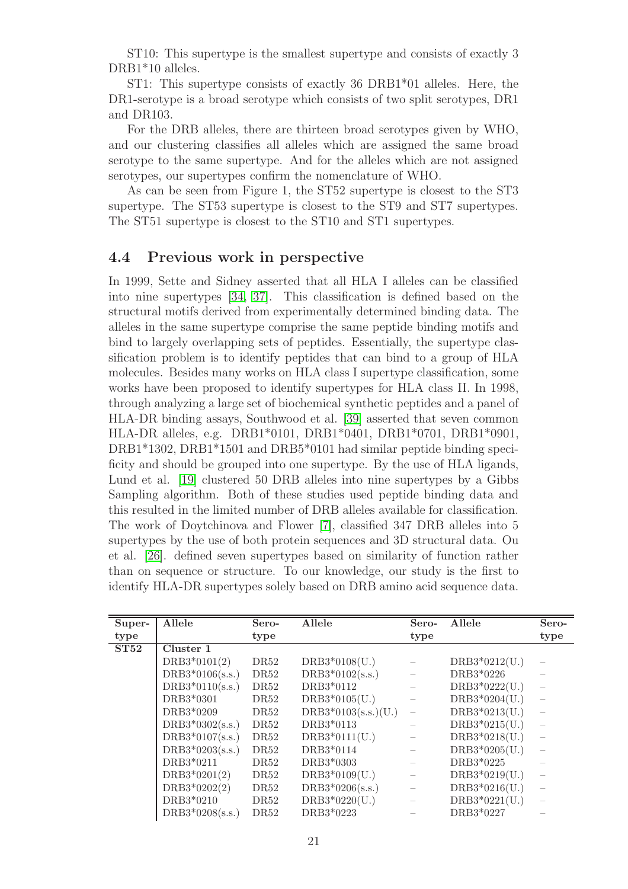ST10: This supertype is the smallest supertype and consists of exactly 3 DRB1\*10 alleles.

ST1: This supertype consists of exactly 36 DRB1\*01 alleles. Here, the DR1-serotype is a broad serotype which consists of two split serotypes, DR1 and DR103.

For the DRB alleles, there are thirteen broad serotypes given by WHO, and our clustering classifies all alleles which are assigned the same broad serotype to the same supertype. And for the alleles which are not assigned serotypes, our supertypes confirm the nomenclature of WHO.

As can be seen from Figure 1, the ST52 supertype is closest to the ST3 supertype. The ST53 supertype is closest to the ST9 and ST7 supertypes. The ST51 supertype is closest to the ST10 and ST1 supertypes.

#### 4.4 Previous work in perspective

In 1999, Sette and Sidney asserted that all HLA I alleles can be classified into nine supertypes [\[34,](#page-31-4) [37\]](#page-31-5). This classification is defined based on the structural motifs derived from experimentally determined binding data. The alleles in the same supertype comprise the same peptide binding motifs and bind to largely overlapping sets of peptides. Essentially, the supertype classification problem is to identify peptides that can bind to a group of HLA molecules. Besides many works on HLA class I supertype classification, some works have been proposed to identify supertypes for HLA class II. In 1998, through analyzing a large set of biochemical synthetic peptides and a panel of HLA-DR binding assays, Southwood et al. [\[39\]](#page-31-9) asserted that seven common HLA-DR alleles, e.g. DRB1\*0101, DRB1\*0401, DRB1\*0701, DRB1\*0901, DRB1\*1302, DRB1\*1501 and DRB5\*0101 had similar peptide binding specificity and should be grouped into one supertype. By the use of HLA ligands, Lund et al. [\[19\]](#page-29-8) clustered 50 DRB alleles into nine supertypes by a Gibbs Sampling algorithm. Both of these studies used peptide binding data and this resulted in the limited number of DRB alleles available for classification. The work of Doytchinova and Flower [\[7\]](#page-28-7), classified 347 DRB alleles into 5 supertypes by the use of both protein sequences and 3D structural data. Ou et al. [\[26\]](#page-30-7). defined seven supertypes based on similarity of function rather than on sequence or structure. To our knowledge, our study is the first to identify HLA-DR supertypes solely based on DRB amino acid sequence data.

| Super- | Allele            | Sero-            | Allele                | Sero- | Allele          | Sero- |
|--------|-------------------|------------------|-----------------------|-------|-----------------|-------|
| type   |                   | type             |                       | type  |                 | type  |
| ST52   | Cluster 1         |                  |                       |       |                 |       |
|        | $DRB3*0101(2)$    | DR52             | $DRB3*0108(U.)$       |       | $DRB3*0212(U.)$ |       |
|        | $DRB3*0106(s.s.)$ | DR52             | $DRB3*0102(s.s.)$     |       | DRB3*0226       |       |
|        | $DRB3*0110(s.s.)$ | DR52             | DRB3*0112             |       | $DRB3*0222(U.)$ |       |
|        | DRB3*0301         | DR52             | $DRB3*0105(U.)$       |       | $DRB3*0204(U.)$ |       |
|        | DRB3*0209         | DR <sub>52</sub> | $DRB3*0103(s.s.)(U.)$ |       | $DRB3*0213(U.)$ |       |
|        | $DRB3*0302(s.s.)$ | DR52             | DRB3*0113             |       | $DRB3*0215(U.)$ |       |
|        | $DRB3*0107(s.s.)$ | DR52             | $DRB3*0111(U.)$       |       | $DRB3*0218(U.)$ |       |
|        | $DRB3*0203(s.s.)$ | DR52             | DRB3*0114             |       | $DRB3*0205(U.)$ |       |
|        | DRB3*0211         | DR52             | DRB3*0303             |       | DRB3*0225       |       |
|        | $DRB3*0201(2)$    | DR <sub>52</sub> | $DRB3*0109(U.)$       |       | $DRB3*0219(U.)$ |       |
|        | $DRB3*0202(2)$    | DR52             | $DRB3*0206(s.s.)$     |       | $DRB3*0216(U.)$ |       |
|        | DRB3*0210         | DR <sub>52</sub> | $DRB3*0220(U.)$       |       | $DRB3*0221(U.)$ |       |
|        | $DRB3*0208(s.s.)$ | DR52             | DRB3*0223             |       | DRB3*0227       |       |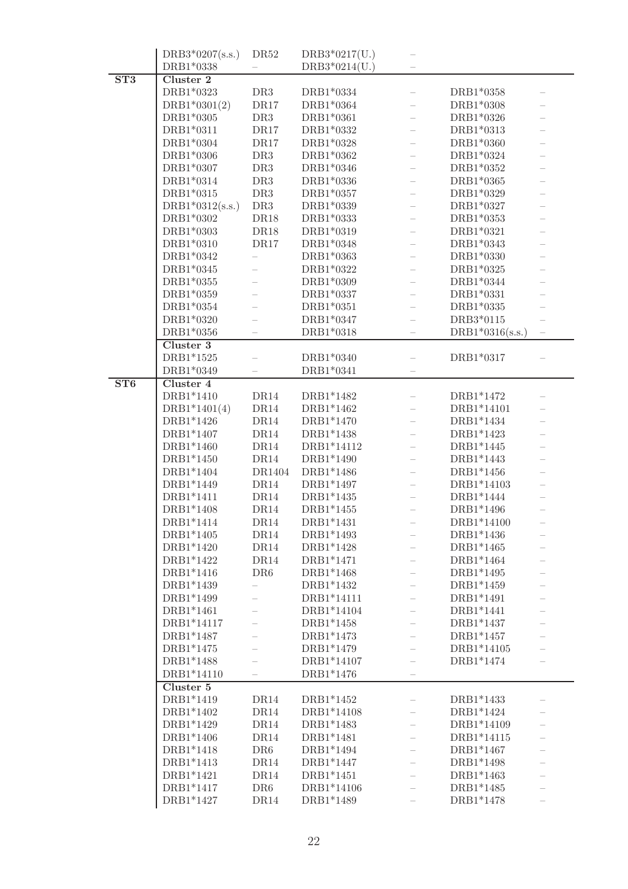|     | $DRB3*0207(s.s.)$       | DR <sub>52</sub>  | $DRB3*0217(U.)$ |                   |  |
|-----|-------------------------|-------------------|-----------------|-------------------|--|
|     | DRB1*0338               |                   | $DRB3*0214(U.)$ |                   |  |
| ST3 | Cluster 2               |                   |                 |                   |  |
|     | DRB1*0323               | DR <sub>3</sub>   | DRB1*0334       | DRB1*0358         |  |
|     | $DRB1*0301(2)$          | DR17              | DRB1*0364       | DRB1*0308         |  |
|     | DRB1*0305               | DR <sub>3</sub>   | DRB1*0361       | DRB1*0326         |  |
|     | DRB1*0311               | DR17              | DRB1*0332       | DRB1*0313         |  |
|     | DRB1*0304               | DR17              | DRB1*0328       | DRB1*0360         |  |
|     | $\mathrm{DRB1^{*}0306}$ | DR3               | DRB1*0362       | DRB1*0324         |  |
|     | DRB1*0307               | DR3               | DRB1*0346       | DRB1*0352         |  |
|     | DRB1*0314               | DR <sub>3</sub>   | DRB1*0336       | DRB1*0365         |  |
|     | DRB1*0315               | DR <sub>3</sub>   | DRB1*0357       | DRB1*0329         |  |
|     | $DRB1*0312(s.s.)$       | DR3               | DRB1*0339       | DRB1*0327         |  |
|     | DRB1*0302               | DR18              | DRB1*0333       | DRB1*0353         |  |
|     | DRB1*0303               | DR18              | DRB1*0319       | DRB1*0321         |  |
|     | DRB1*0310               | DR17              | DRB1*0348       | DRB1*0343         |  |
|     | DRB1*0342               |                   | DRB1*0363       | DRB1*0330         |  |
|     | DRB1*0345               |                   | DRB1*0322       | DRB1*0325         |  |
|     | DRB1*0355               |                   | DRB1*0309       | DRB1*0344         |  |
|     | DRB1*0359               |                   | DRB1*0337       |                   |  |
|     |                         |                   |                 | DRB1*0331         |  |
|     | DRB1*0354               |                   | DRB1*0351       | DRB1*0335         |  |
|     | DRB1*0320               |                   | DRB1*0347       | DRB3*0115         |  |
|     | DRB1*0356               |                   | DRB1*0318       | $DRB1*0316(s.s.)$ |  |
|     | Cluster 3               |                   |                 |                   |  |
|     | DRB1*1525               |                   | DRB1*0340       | DRB1*0317         |  |
|     | DRB1*0349               |                   | DRB1*0341       |                   |  |
| ST6 | Cluster 4               |                   |                 |                   |  |
|     | DRB1*1410               | $\mathrm{DR14}$   | DRB1*1482       | DRB1*1472         |  |
|     | $DRB1*1401(4)$          | $\mathrm{DR14}$   | DRB1*1462       | DRB1*14101        |  |
|     | DRB1*1426               | DR14              | DRB1*1470       | DRB1*1434         |  |
|     | DRB1*1407               | DR14              | DRB1*1438       | DRB1*1423         |  |
|     | DRB1*1460               | DR14              | DRB1*14112      | DRB1*1445         |  |
|     | DRB1*1450               | DR14              | DRB1*1490       | DRB1*1443         |  |
|     | DRB1*1404               | $\mathrm{DR1404}$ | DRB1*1486       | DRB1*1456         |  |
|     | DRB1*1449               | DR14              | DRB1*1497       | DRB1*14103        |  |
|     | DRB1*1411               | DR14              | DRB1*1435       | DRB1*1444         |  |
|     | DRB1*1408               | DR14              | DRB1*1455       | DRB1*1496         |  |
|     | DRB1*1414               | DR14              | DRB1*1431       | DRB1*14100        |  |
|     | DRB1*1405               | DR14              | DRB1*1493       | DRB1*1436         |  |
|     | DRB1*1420               | DR14              | DRB1*1428       | DRB1*1465         |  |
|     | DRB1*1422               | DR14              | DRB1*1471       | DRB1*1464         |  |
|     | DRB1*1416               | DR6               | DRB1*1468       | DRB1*1495         |  |
|     | DRB1*1439               |                   | DRB1*1432       | DRB1*1459         |  |
|     | DRB1*1499               |                   | DRB1*14111      | DRB1*1491         |  |
|     | DRB1*1461               |                   | DRB1*14104      | DRB1*1441         |  |
|     | DRB1*14117              |                   | DRB1*1458       | DRB1*1437         |  |
|     | DRB1*1487               |                   | DRB1*1473       | DRB1*1457         |  |
|     | DRB1*1475               |                   | DRB1*1479       | DRB1*14105        |  |
|     | DRB1*1488               |                   | DRB1*14107      | DRB1*1474         |  |
|     | DRB1*14110              |                   | DRB1*1476       |                   |  |
|     | Cluster 5               |                   |                 |                   |  |
|     | DRB1*1419               | DR14              | DRB1*1452       | DRB1*1433         |  |
|     | DRB1*1402               | DR14              | DRB1*14108      | DRB1*1424         |  |
|     | DRB1*1429               | DR14              | DRB1*1483       | DRB1*14109        |  |
|     | DRB1*1406               | DR14              | DRB1*1481       | DRB1*14115        |  |
|     | DRB1*1418               | DR <sub>6</sub>   | DRB1*1494       | DRB1*1467         |  |
|     | DRB1*1413               | DR14              | DRB1*1447       | DRB1*1498         |  |
|     | DRB1*1421               | DR14              | DRB1*1451       | DRB1*1463         |  |
|     | DRB1*1417               | DR <sub>6</sub>   | DRB1*14106      | DRB1*1485         |  |
|     | DRB1*1427               | DR14              | DRB1*1489       | DRB1*1478         |  |
|     |                         |                   |                 |                   |  |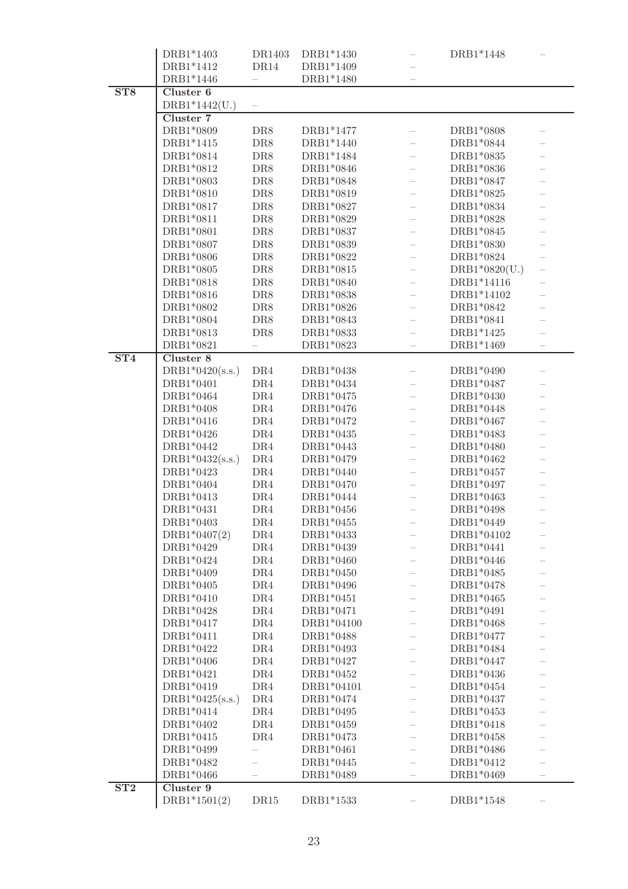|     | DRB1*1403                      | DR1403     | DRB1*1430               | DRB1*1448              |                   |
|-----|--------------------------------|------------|-------------------------|------------------------|-------------------|
|     | DRB1*1412                      | DR14       | DRB1*1409               |                        |                   |
|     | DRB1*1446                      |            | DRB1*1480               |                        |                   |
| ST8 | Cluster 6                      |            |                         |                        |                   |
|     | $DRB1*1442(U.)$                |            |                         |                        |                   |
|     | Cluster 7                      |            |                         |                        |                   |
|     | DRB1*0809                      | DR8        | DRB1*1477               | DRB1*0808              |                   |
|     | DRB1*1415                      | DR8        | DRB1*1440               | DRB1*0844              |                   |
|     | DRB1*0814                      | DR8        | DRB1*1484               | DRB1*0835              |                   |
|     | DRB1*0812                      | DR8        | DRB1*0846               | DRB1*0836              |                   |
|     | DRB1*0803                      | DR8        | DRB1*0848               | DRB1*0847              |                   |
|     | DRB1*0810                      | DR8        | DRB1*0819               | DRB1*0825              |                   |
|     | DRB1*0817                      | DR8        | DRB1*0827               | DRB1*0834              |                   |
|     | DRB1*0811                      | DR8        | DRB1*0829               | DRB1*0828              |                   |
|     | DRB1*0801                      | DR8        | DRB1*0837               | DRB1*0845              |                   |
|     | DRB1*0807                      | DR8        | DRB1*0839               | DRB1*0830              |                   |
|     | DRB1*0806                      | $\rm DR8$  | DRB1*0822               | DRB1*0824              |                   |
|     | DRB1*0805                      | $\rm DR8$  | DRB1*0815               | $DRB1*0820(U.)$        |                   |
|     | DRB1*0818                      | $\rm DR8$  | DRB1*0840               | DRB1*14116             |                   |
|     | DRB1*0816                      | $\rm DR8$  | DRB1*0838               | DRB1*14102             |                   |
|     | DRB1*0802                      | DR8        | DRB1*0826               | DRB1*0842              |                   |
|     | DRB1*0804                      | DR8        | DRB1*0843               | DRB1*0841<br>DRB1*1425 |                   |
|     | DRB1*0813<br>DRB1*0821         | DR8        | DRB1*0833<br>DRB1*0823  | DRB1*1469              |                   |
| ST4 | Cluster 8                      |            |                         |                        |                   |
|     |                                |            | $\mathrm{DRB1^{*}0438}$ | DRB1*0490              |                   |
|     | $DRB1*0420(s.s.)$<br>DRB1*0401 | DR4        | DRB1*0434               | DRB1*0487              |                   |
|     | DRB1*0464                      | DR4        | DRB1*0475               | DRB1*0430              |                   |
|     | DRB1*0408                      | DR4<br>DR4 | DRB1*0476               | DRB1*0448              |                   |
|     | DRB1*0416                      | DR4        | DRB1*0472               | DRB1*0467              |                   |
|     | DRB1*0426                      | DR4        | DRB1*0435               | DRB1*0483              |                   |
|     | DRB1*0442                      | DR4        | DRB1*0443               | DRB1*0480              |                   |
|     | $DRB1*0432(s.s.)$              | DR4        | DRB1*0479               | DRB1*0462              |                   |
|     | DRB1*0423                      | DR4        | DRB1*0440               | DRB1*0457              |                   |
|     | DRB1*0404                      | DR4        | DRB1*0470               | DRB1*0497              |                   |
|     | DRB1*0413                      | DR4        | DRB1*0444               | DRB1*0463              |                   |
|     | DRB1*0431                      | DR4        | DRB1*0456               | DRB1*0498              |                   |
|     | DRB1*0403                      | $\rm DR4$  | $\mathrm{DRB1^{*}0455}$ | DRB1*0449              |                   |
|     | $DRB1*0407(2)$                 | DR4        | DRB1*0433               | DRB1*04102             |                   |
|     | DRB1*0429                      | DR4        | DRB1*0439               | DRB1*0441              |                   |
|     | DRB1*0424                      | DR4        | DRB1*0460               | DRB1*0446              |                   |
|     | DRB1*0409                      | DR4        | DRB1*0450               | DRB1*0485              |                   |
|     | DRB1*0405                      | DR4        | DRB1*0496               | DRB1*0478              |                   |
|     | DRB1*0410                      | DR4        | DRB1*0451               | DRB1*0465              |                   |
|     | DRB1*0428                      | DR4        | DRB1*0471               | DRB1*0491              |                   |
|     | DRB1*0417                      | DR4        | DRB1*04100              | DRB1*0468              |                   |
|     | DRB1*0411                      | DR4        | DRB1*0488               | DRB1*0477              |                   |
|     | DRB1*0422                      | DR4        | DRB1*0493               | DRB1*0484              |                   |
|     | DRB1*0406                      | DR4        | DRB1*0427               | DRB1*0447              |                   |
|     | DRB1*0421                      | DR4        | DRB1*0452               | DRB1*0436              |                   |
|     | DRB1*0419                      | DR4        | DRB1*04101              | DRB1*0454              |                   |
|     | $DRB1*0425(s.s.)$              | DR4        | DRB1*0474               | DRB1*0437              |                   |
|     | DRB1*0414                      | DR4        | DRB1*0495               | DRB1*0453              |                   |
|     | DRB1*0402                      | DR4        | DRB1*0459               | DRB1*0418              |                   |
|     | DRB1*0415                      | DR4        | DRB1*0473               | DRB1*0458              |                   |
|     | DRB1*0499                      |            | DRB1*0461               | DRB1*0486              |                   |
|     | DRB1*0482                      |            | DRB1*0445               | DRB1*0412              |                   |
|     | DRB1*0466                      |            | DRB1*0489               | DRB1*0469              | $\qquad \qquad -$ |
| ST2 | Cluster 9                      |            |                         |                        |                   |
|     | $DRB1*1501(2)$                 | DR15       | DRB1*1533               | DRB1*1548              |                   |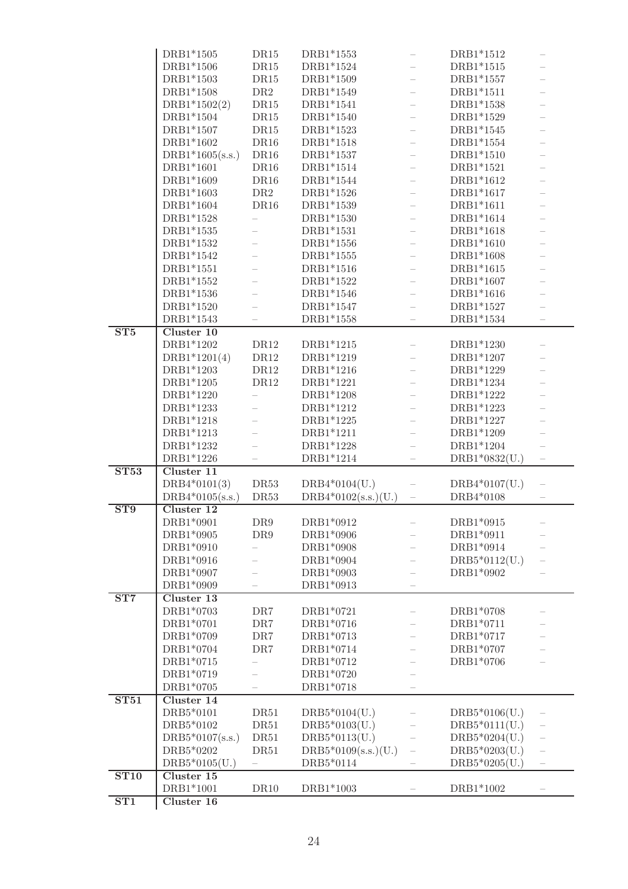|             | DRB1*1505         | DR15            | DRB1*1553             |                          | DRB1*1512       |                          |
|-------------|-------------------|-----------------|-----------------------|--------------------------|-----------------|--------------------------|
|             | DRB1*1506         | DR15            | DRB1*1524             |                          | DRB1*1515       |                          |
|             | DRB1*1503         | DR15            | DRB1*1509             |                          | DRB1*1557       |                          |
|             |                   |                 |                       |                          |                 |                          |
|             | DRB1*1508         | DR2             | DRB1*1549             |                          | DRB1*1511       |                          |
|             | $DRB1*1502(2)$    | $\mathrm{DR15}$ | DRB1*1541             |                          | DRB1*1538       |                          |
|             | DRB1*1504         | $\mathrm{DR15}$ | DRB1*1540             |                          | DRB1*1529       |                          |
|             | DRB1*1507         | DR15            | DRB1*1523             |                          | DRB1*1545       |                          |
|             | DRB1*1602         | DR16            | DRB1*1518             |                          | DRB1*1554       |                          |
|             |                   |                 |                       |                          |                 |                          |
|             | $DRB1*1605(s.s.)$ | DR16            | DRB1*1537             |                          | DRB1*1510       |                          |
|             | DRB1*1601         | DR16            | DRB1*1514             |                          | DRB1*1521       |                          |
|             | DRB1*1609         | $\mathrm{DR16}$ | DRB1*1544             | $\overline{\phantom{0}}$ | DRB1*1612       |                          |
|             | DRB1*1603         | $\rm DR2$       | DRB1*1526             | $\overline{\phantom{0}}$ | DRB1*1617       |                          |
|             | DRB1*1604         | DR16            | DRB1*1539             | $\overline{\phantom{0}}$ | DRB1*1611       |                          |
|             |                   |                 |                       |                          |                 |                          |
|             | DRB1*1528         |                 | DRB1*1530             | $\overline{\phantom{0}}$ | DRB1*1614       |                          |
|             | DRB1*1535         | $\equiv$        | DRB1*1531             | $\overline{\phantom{0}}$ | DRB1*1618       |                          |
|             | DRB1*1532         |                 | DRB1*1556             | $\overline{\phantom{0}}$ | DRB1*1610       |                          |
|             | DRB1*1542         |                 | DRB1*1555             | $\overline{\phantom{0}}$ | DRB1*1608       |                          |
|             | DRB1*1551         |                 | DRB1*1516             | $\overline{\phantom{0}}$ | DRB1*1615       |                          |
|             |                   |                 |                       |                          |                 |                          |
|             | DRB1*1552         |                 | DRB1*1522             |                          | DRB1*1607       |                          |
|             | DRB1*1536         |                 | DRB1*1546             |                          | DRB1*1616       |                          |
|             | DRB1*1520         |                 | DRB1*1547             |                          | DRB1*1527       |                          |
|             | DRB1*1543         |                 | DRB1*1558             |                          | DRB1*1534       |                          |
| ST5         | Cluster 10        |                 |                       |                          |                 |                          |
|             | DRB1*1202         | DR12            | DRB1*1215             |                          | DRB1*1230       |                          |
|             |                   |                 |                       |                          |                 |                          |
|             | $DRB1*1201(4)$    | $\rm DR12$      | DRB1*1219             |                          | DRB1*1207       |                          |
|             | DRB1*1203         | DR12            | DRB1*1216             |                          | DRB1*1229       |                          |
|             | DRB1*1205         | DR12            | DRB1*1221             |                          | DRB1*1234       |                          |
|             | DRB1*1220         |                 | DRB1*1208             |                          | DRB1*1222       |                          |
|             | DRB1*1233         |                 | DRB1*1212             |                          | DRB1*1223       |                          |
|             | DRB1*1218         |                 | DRB1*1225             |                          | DRB1*1227       |                          |
|             |                   |                 |                       |                          |                 |                          |
|             | DRB1*1213         |                 | DRB1*1211             |                          | DRB1*1209       |                          |
|             | DRB1*1232         |                 | DRB1*1228             |                          | DRB1*1204       |                          |
|             | DRB1*1226         |                 | DRB1*1214             |                          | $DRB1*0832(U.)$ |                          |
| <b>ST53</b> | Cluster 11        |                 |                       |                          |                 |                          |
|             | $DRB4*0101(3)$    | DR53            | $DRB4*0104(U.)$       |                          | $DRB4*0107(U.)$ | $\overline{\phantom{0}}$ |
|             |                   |                 |                       |                          |                 |                          |
|             | $DRB4*0105(s.s.)$ | DR53            | $DRB4*0102(s.s.)(U.)$ |                          | DRB4*0108       |                          |
| ST9         | Cluster 12        |                 |                       |                          |                 |                          |
|             | DRB1*0901         | DR9             | DRB1*0912             |                          | DRB1*0915       |                          |
|             | DRB1*0905         | DR9             | DRB1*0906             |                          | DRB1*0911       |                          |
|             | DRB1*0910         |                 | DRB1*0908             |                          | DRB1*0914       |                          |
|             | DRB1*0916         |                 | DRB1*0904             |                          | $DRB5*0112(U.)$ |                          |
|             |                   |                 |                       |                          |                 |                          |
|             | DRB1*0907         |                 | DRB1*0903             |                          | DRB1*0902       |                          |
|             | DRB1*0909         |                 | DRB1*0913             |                          |                 |                          |
| ST7         | Cluster 13        |                 |                       |                          |                 |                          |
|             | DRB1*0703         | $\rm DR7$       | DRB1*0721             |                          | DRB1*0708       |                          |
|             | DRB1*0701         | DR7             | DRB1*0716             |                          | DRB1*0711       |                          |
|             | DRB1*0709         |                 | DRB1*0713             |                          | DRB1*0717       |                          |
|             |                   | DR7             |                       |                          |                 |                          |
|             | DRB1*0704         | DR7             | DRB1*0714             |                          | DRB1*0707       |                          |
|             | DRB1*0715         |                 | DRB1*0712             |                          | DRB1*0706       |                          |
|             | DRB1*0719         | $\equiv$        | DRB1*0720             |                          |                 |                          |
|             | DRB1*0705         |                 | DRB1*0718             |                          |                 |                          |
| ST51        | Cluster 14        |                 |                       |                          |                 |                          |
|             | DRB5*0101         |                 |                       |                          |                 |                          |
|             |                   | DR51            | $DRB5*0104(U.)$       |                          | $DRB5*0106(U.)$ |                          |
|             | DRB5*0102         | DR51            | $DRB5*0103(U.)$       |                          | $DRB5*0111(U.)$ |                          |
|             | $DRB5*0107(s.s.)$ | DR51            | $DRB5*0113(U.)$       |                          | $DRB5*0204(U.)$ |                          |
|             | DRB5*0202         | DR51            | $DRB5*0109(s.s.)(U.)$ | $\overline{\phantom{0}}$ | $DRB5*0203(U.)$ |                          |
|             | $DRB5*0105(U.)$   |                 | DRB5*0114             |                          | $DRB5*0205(U.)$ |                          |
| <b>ST10</b> | Cluster 15        |                 |                       |                          |                 |                          |
|             |                   |                 |                       |                          |                 |                          |
|             | DRB1*1001         | DR10            | DRB1*1003             |                          | DRB1*1002       |                          |
| ST1         | Cluster 16        |                 |                       |                          |                 |                          |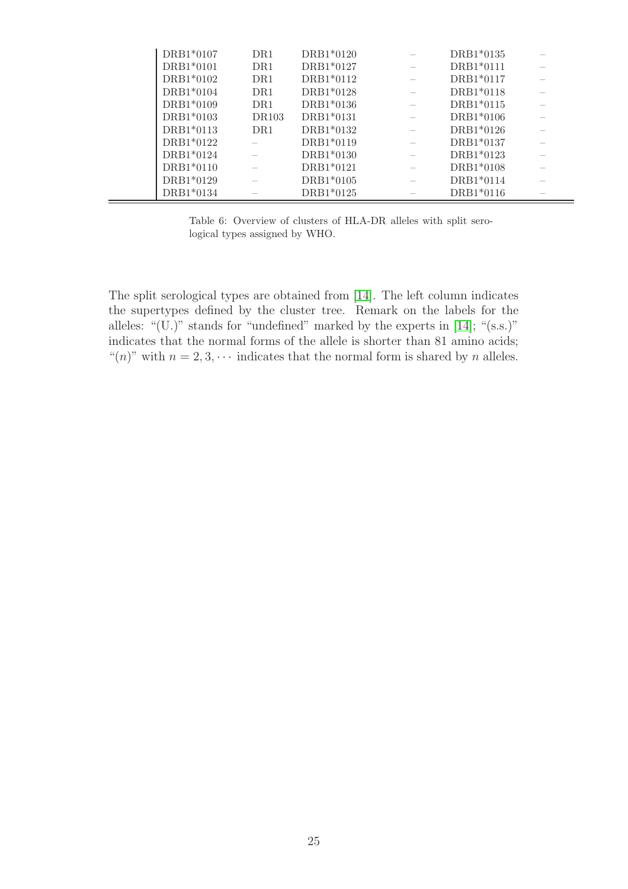| DRB1*0107   | DR1          | DRB1*0120 | DRB1*0135   |  |
|-------------|--------------|-----------|-------------|--|
| DRB1*0101   | DR1          | DRB1*0127 | DRB1*0111   |  |
| $DRB1*0102$ | DR1          | DRB1*0112 | $DRB1*0117$ |  |
| DRB1*0104   | DR1          | DRB1*0128 | DRB1*0118   |  |
| DRB1*0109   | DR1          | DRB1*0136 | DRB1*0115   |  |
| DRB1*0103   | <b>DR103</b> | DRB1*0131 | $DRB1*0106$ |  |
| DRB1*0113   | DR1          | DRB1*0132 | DRB1*0126   |  |
| DRB1*0122   |              | DRB1*0119 | DRB1*0137   |  |
| DRB1*0124   |              | DRB1*0130 | DRB1*0123   |  |
| DRB1*0110   |              | DRB1*0121 | DRB1*0108   |  |
| DRB1*0129   |              | DRB1*0105 | DRB1*0114   |  |
| DRB1*0134   |              | DRB1*0125 | DRB1*0116   |  |

Table 6: Overview of clusters of HLA-DR alleles with split serological types assigned by WHO.

The split serological types are obtained from [\[14\]](#page-29-0). The left column indicates the supertypes defined by the cluster tree. Remark on the labels for the alleles: " $(U)$ " stands for "undefined" marked by the experts in [\[14\]](#page-29-0); " $(s.s.)$ " indicates that the normal forms of the allele is shorter than 81 amino acids; "(n)" with  $n = 2, 3, \cdots$  indicates that the normal form is shared by n alleles.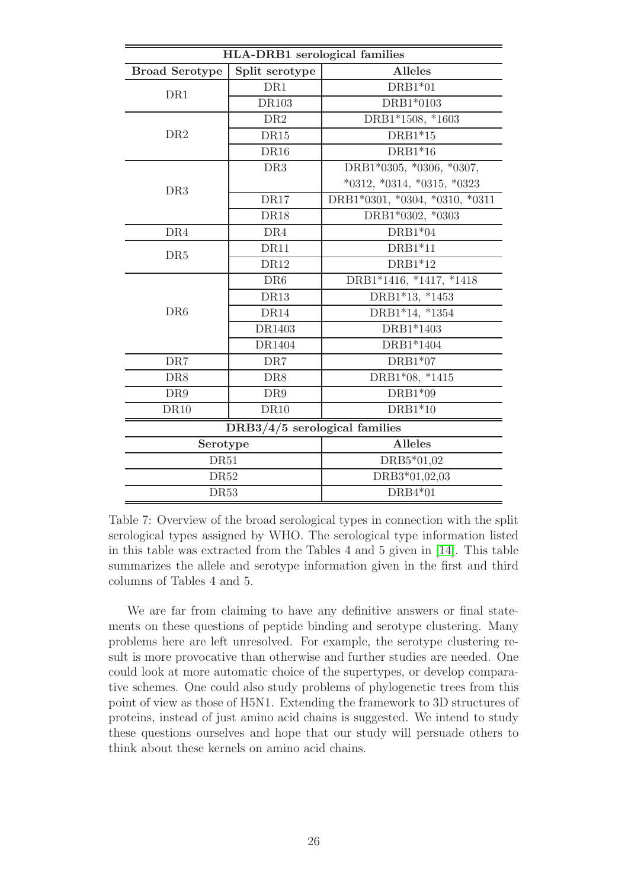|                       | <b>HLA-DRB1</b> serological families |                                |
|-----------------------|--------------------------------------|--------------------------------|
| <b>Broad Serotype</b> | Split serotype                       | <b>Alleles</b>                 |
| DR1                   | DR1                                  | $DRB1*01$                      |
|                       | <b>DR103</b>                         | DRB1*0103                      |
|                       | DR2                                  | DRB1*1508, *1603               |
| DR2                   | DR15                                 | $DRB1*15$                      |
|                       | DR <sub>16</sub>                     | $DRB1*16$                      |
|                       | DR3                                  | DRB1*0305, *0306, *0307,       |
| DR <sub>3</sub>       |                                      | $*0312, *0314, *0315, *0323$   |
|                       | DR17                                 | DRB1*0301, *0304, *0310, *0311 |
|                       | <b>DR18</b>                          | DRB1*0302, *0303               |
| DR4                   | DR4                                  | $DRB1*04$                      |
| DR <sub>5</sub>       | DR11                                 | $DRB1*11$                      |
|                       | DR12                                 | $DRB1*12$                      |
|                       | DR <sub>6</sub>                      | DRB1*1416, *1417, *1418        |
|                       | <b>DR13</b>                          | DRB1*13, *1453                 |
| DR <sub>6</sub>       | DR14                                 | DRB1*14, *1354                 |
|                       | DR1403                               | DRB1*1403                      |
|                       | DR1404                               | DRB1*1404                      |
| DR7                   | DR7                                  | $DRB1*07$                      |
| DR8                   | DR8                                  | DRB1*08, *1415                 |
| DR9                   | DR9                                  | $DRB1*09$                      |
| <b>DR10</b>           | <b>DR10</b>                          | $DRB1*10$                      |
|                       | DRB3/4/5 serological families        |                                |
| Serotype              |                                      | <b>Alleles</b>                 |
| DR51                  |                                      | DRB5*01,02                     |
| DR52                  |                                      | DRB3*01,02,03                  |
| <b>DR53</b>           |                                      | $DRB4*01$                      |

Table 7: Overview of the broad serological types in connection with the split serological types assigned by WHO. The serological type information listed in this table was extracted from the Tables 4 and 5 given in [\[14\]](#page-29-0). This table summarizes the allele and serotype information given in the first and third columns of Tables 4 and 5.

We are far from claiming to have any definitive answers or final statements on these questions of peptide binding and serotype clustering. Many problems here are left unresolved. For example, the serotype clustering result is more provocative than otherwise and further studies are needed. One could look at more automatic choice of the supertypes, or develop comparative schemes. One could also study problems of phylogenetic trees from this point of view as those of H5N1. Extending the framework to 3D structures of proteins, instead of just amino acid chains is suggested. We intend to study these questions ourselves and hope that our study will persuade others to think about these kernels on amino acid chains.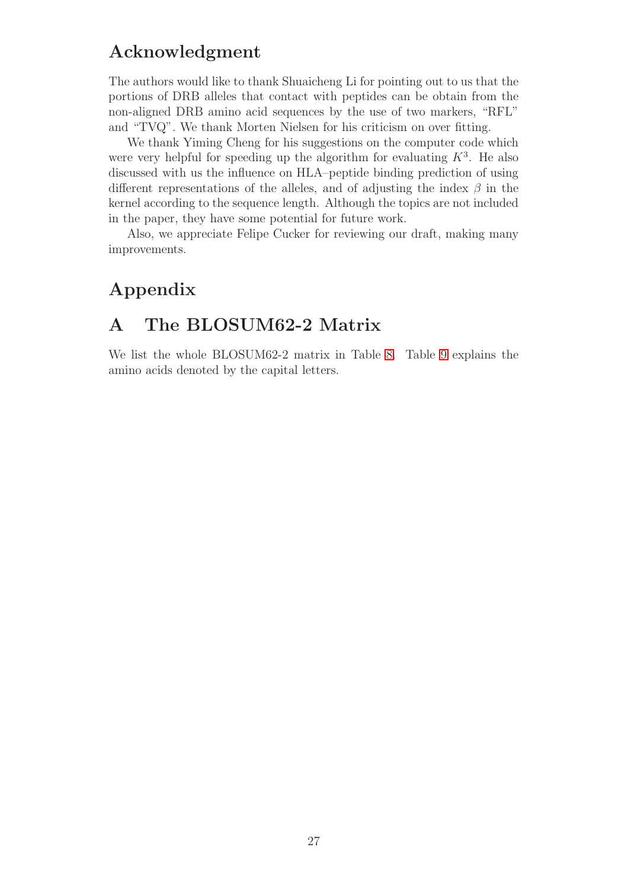# Acknowledgment

The authors would like to thank Shuaicheng Li for pointing out to us that the portions of DRB alleles that contact with peptides can be obtain from the non-aligned DRB amino acid sequences by the use of two markers, "RFL" and "TVQ". We thank Morten Nielsen for his criticism on over fitting.

We thank Yiming Cheng for his suggestions on the computer code which were very helpful for speeding up the algorithm for evaluating  $K^3$ . He also discussed with us the influence on HLA–peptide binding prediction of using different representations of the alleles, and of adjusting the index  $\beta$  in the kernel according to the sequence length. Although the topics are not included in the paper, they have some potential for future work.

Also, we appreciate Felipe Cucker for reviewing our draft, making many improvements.

### <span id="page-26-0"></span>Appendix

# A The BLOSUM62-2 Matrix

We list the whole BLOSUM62-2 matrix in Table [8.](#page-27-0) Table [9](#page-28-8) explains the amino acids denoted by the capital letters.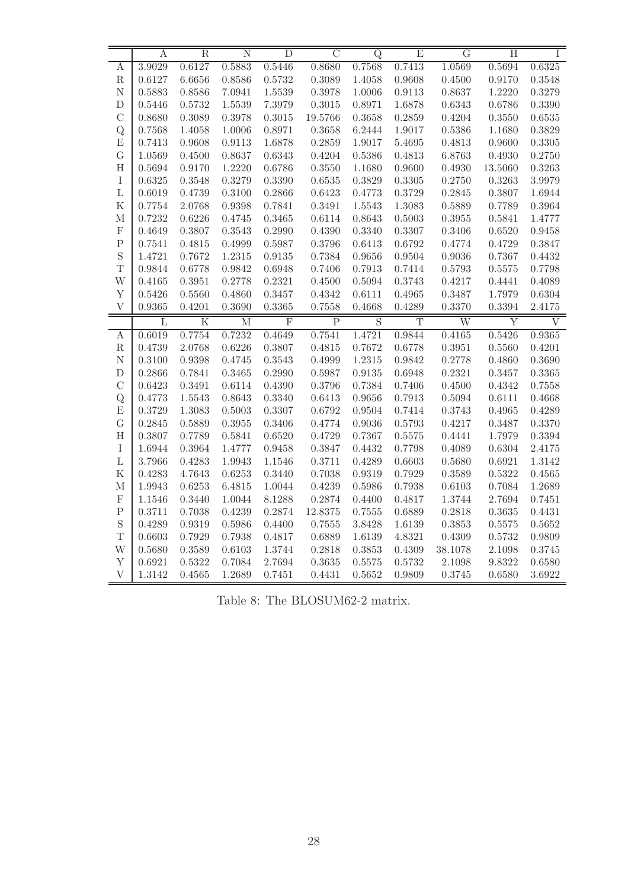|                   | Α                | $\mathbf R$             | Ν                | D                       | $\overline{C}$   | Q                | Ε                     | $\overline{G}$        | Η                       | T                |
|-------------------|------------------|-------------------------|------------------|-------------------------|------------------|------------------|-----------------------|-----------------------|-------------------------|------------------|
| Α                 | 3.9029           | 0.6127                  | 0.5883           | 0.5446                  | 0.8680           | 0.7568           | 0.7413                | 1.0569                | 0.5694                  | 0.6325           |
| ${\bf R}$         | 0.6127           | 6.6656                  | 0.8586           | 0.5732                  | 0.3089           | 1.4058           | 0.9608                | 0.4500                | 0.9170                  | 0.3548           |
| $\mathbf N$       | 0.5883           | 0.8586                  | 7.0941           | 1.5539                  | 0.3978           | 1.0006           | 0.9113                | 0.8637                | 1.2220                  | 0.3279           |
| D                 | 0.5446           | 0.5732                  | 1.5539           | 7.3979                  | 0.3015           | 0.8971           | 1.6878                | 0.6343                | 0.6786                  | 0.3390           |
| $\mathcal{C}$     | 0.8680           | 0.3089                  | 0.3978           | 0.3015                  | 19.5766          | 0.3658           | 0.2859                | 0.4204                | 0.3550                  | 0.6535           |
| Q                 | 0.7568           | 1.4058                  | 1.0006           | 0.8971                  | 0.3658           | 6.2444           | 1.9017                | 0.5386                | 1.1680                  | 0.3829           |
| E                 | 0.7413           | 0.9608                  | 0.9113           | 1.6878                  | 0.2859           | 1.9017           | 5.4695                | 0.4813                | 0.9600                  | 0.3305           |
| $\mathbf G$       | 1.0569           | 0.4500                  | 0.8637           | 0.6343                  | 0.4204           | 0.5386           | 0.4813                | 6.8763                | 0.4930                  | 0.2750           |
| $\rm H$           | 0.5694           | 0.9170                  | 1.2220           | 0.6786                  | 0.3550           | 1.1680           | 0.9600                | 0.4930                | 13.5060                 | 0.3263           |
| $\rm I$           | 0.6325           | 0.3548                  | 0.3279           | 0.3390                  | 0.6535           | 0.3829           | $0.3305\,$            | 0.2750                | 0.3263                  | 3.9979           |
| $\mathbf L$       | 0.6019           | 0.4739                  | 0.3100           | 0.2866                  | 0.6423           | 0.4773           | 0.3729                | 0.2845                | 0.3807                  | 1.6944           |
| $\mathbf K$       | 0.7754           | 2.0768                  | 0.9398           | 0.7841                  | 0.3491           | 1.5543           | 1.3083                | 0.5889                | 0.7789                  | 0.3964           |
| $\mathbf{M}$      | 0.7232           | 0.6226                  | 0.4745           | 0.3465                  | 0.6114           | 0.8643           | 0.5003                | 0.3955                | 0.5841                  | 1.4777           |
| $\mathbf F$       | 0.4649           | 0.3807                  | 0.3543           | 0.2990                  | 0.4390           | 0.3340           | 0.3307                | 0.3406                | 0.6520                  | 0.9458           |
| ${\bf P}$         | 0.7541           | 0.4815                  | 0.4999           | 0.5987                  | 0.3796           | 0.6413           | 0.6792                | $0.4774\,$            | 0.4729                  | 0.3847           |
| S                 | 1.4721           | 0.7672                  | 1.2315           | 0.9135                  | 0.7384           | 0.9656           | 0.9504                | 0.9036                | 0.7367                  | 0.4432           |
| T                 | 0.9844           | 0.6778                  | 0.9842           | 0.6948                  | 0.7406           | 0.7913           | 0.7414                | 0.5793                | 0.5575                  | 0.7798           |
| W                 | 0.4165           | 0.3951                  | 0.2778           | 0.2321                  | 0.4500           | 0.5094           | 0.3743                | 0.4217                | 0.4441                  | 0.4089           |
| Y                 | 0.5426           | 0.5560                  | 0.4860           | 0.3457                  | 0.4342           | 0.6111           | 0.4965                | 0.3487                | 1.7979                  | 0.6304           |
| $\mathbf{V}$      | 0.9365           | 0.4201                  | 0.3690           | 0.3365                  | 0.7558           | 0.4668           | 0.4289                | 0.3370                | 0.3394                  | 2.4175           |
|                   |                  |                         |                  |                         |                  |                  |                       |                       |                         |                  |
|                   | L                | $\overline{\mathrm{K}}$ | М                | $\overline{\mathrm{F}}$ | $\overline{P}$   | $\overline{S}$   | $\overline{\text{T}}$ | $\overline{\text{W}}$ | $\overline{\mathrm{Y}}$ | V                |
| $\boldsymbol{A}$  | 0.6019           | 0.7754                  | 0.7232           | 0.4649                  | 0.7541           | 1.4721           | 0.9844                | 0.4165                | 0.5426                  | 0.9365           |
| $\rm R$           | 0.4739           | 2.0768                  | 0.6226           | 0.3807                  | 0.4815           | 0.7672           | 0.6778                | 0.3951                | 0.5560                  | 0.4201           |
| $\mathbf N$       | 0.3100           | 0.9398                  | 0.4745           | 0.3543                  | 0.4999           | 1.2315           | 0.9842                | 0.2778                | 0.4860                  | 0.3690           |
| D                 | 0.2866           | 0.7841                  | 0.3465           | 0.2990                  | 0.5987           | 0.9135           | 0.6948                | 0.2321                | 0.3457                  | 0.3365           |
| $\mathcal{C}$     | 0.6423           | 0.3491                  | 0.6114           | 0.4390                  | 0.3796           | 0.7384           | 0.7406                | 0.4500                | 0.4342                  | 0.7558           |
| Q                 | 0.4773           | $1.5543\,$              | 0.8643           | 0.3340                  | 0.6413           | 0.9656           | 0.7913                | 0.5094                | 0.6111                  | 0.4668           |
| E                 | 0.3729           | 1.3083                  | 0.5003           | 0.3307                  | 0.6792           | 0.9504           | 0.7414                | 0.3743                | 0.4965                  | 0.4289           |
| $\mathbf G$       | 0.2845           | 0.5889                  | 0.3955           | 0.3406                  | 0.4774           | 0.9036           | 0.5793                | 0.4217                | 0.3487                  | 0.3370           |
| $\rm H$           | 0.3807           | 0.7789                  | 0.5841           | 0.6520                  | 0.4729           | 0.7367           | 0.5575                | 0.4441                | 1.7979                  | 0.3394           |
| $\rm I$           | 1.6944           | 0.3964                  | 1.4777           | 0.9458                  | 0.3847           | 0.4432           | 0.7798                | 0.4089                | 0.6304                  | 2.4175           |
| $\Gamma$          | 3.7966           | 0.4283                  | 1.9943           | 1.1546                  | 0.3711           | 0.4289           | 0.6603                | $0.5680\,$            | 0.6921                  | 1.3142           |
| ${\bf K}$         | 0.4283           | 4.7643                  | 0.6253           | 0.3440                  | 0.7038           | 0.9319           | 0.7929                | 0.3589                | 0.5322                  | 0.4565           |
| $\mathbf{M}$      | 1.9943           | 0.6253                  | 6.4815           | 1.0044                  | 0.4239           | 0.5986           | 0.7938                | 0.6103                | 0.7084                  | 1.2689           |
| $\mathbf F$       | 1.1546           | 0.3440                  | 1.0044           | 8.1288                  | 0.2874           | 0.4400           | 0.4817                | 1.3744                | 2.7694                  | 0.7451           |
| $\mathbf P$       | 0.3711           | 0.7038                  | 0.4239           | 0.2874                  | 12.8375          | 0.7555           | 0.6889                | 0.2818                | 0.3635                  | 0.4431           |
| $\mathbf S$       | 0.4289           | 0.9319                  | 0.5986           | 0.4400                  | 0.7555           | 3.8428           | 1.6139                | 0.3853                | 0.5575                  | 0.5652           |
| T                 | 0.6603           | 0.7929                  | 0.7938           | 0.4817                  | 0.6889           | 1.6139           | 4.8321                | 0.4309                | 0.5732                  | 0.9809           |
| W                 | 0.5680           | 0.3589                  | 0.6103           | 1.3744                  | 0.2818           | 0.3853           | 0.4309                | 38.1078               | 2.1098                  | $0.3745\,$       |
| Y<br>$\mathbf{V}$ | 0.6921<br>1.3142 | 0.5322<br>0.4565        | 0.7084<br>1.2689 | 2.7694<br>0.7451        | 0.3635<br>0.4431 | 0.5575<br>0.5652 | 0.5732<br>0.9809      | 2.1098<br>0.3745      | 9.8322<br>0.6580        | 0.6580<br>3.6922 |

<span id="page-27-0"></span>Table 8: The BLOSUM62-2 matrix.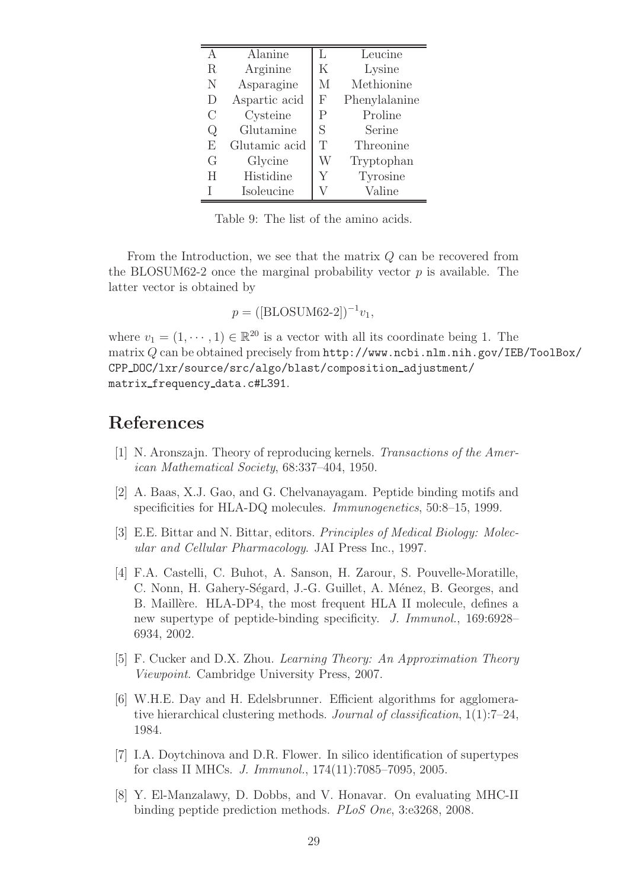|         | <b>Alanine</b> | L            | Leucine       |
|---------|----------------|--------------|---------------|
| $\rm R$ | Arginine       | Κ            | Lysine        |
| N       | Asparagine     | M            | Methionine    |
| D       | Aspartic acid  | $_{\rm F}$   | Phenylalanine |
| С       | Cysteine       | $\mathsf{P}$ | Proline       |
| Q       | Glutamine      | S            | Serine        |
| F,      | Glutamic acid  | T            | Threonine     |
| G       | Glycine        | W            | Tryptophan    |
| H       | Histidine      | Y            | Tyrosine      |
|         | Isoleucine     |              | Valine        |

<span id="page-28-8"></span>Table 9: The list of the amino acids.

From the Introduction, we see that the matrix Q can be recovered from the BLOSUM62-2 once the marginal probability vector  $p$  is available. The latter vector is obtained by

 $p = ([\text{BLOSUM62-2}])^{-1}v_1,$ 

where  $v_1 = (1, \dots, 1) \in \mathbb{R}^{20}$  is a vector with all its coordinate being 1. The matrix Q can be obtained precisely from http://www.ncbi.nlm.nih.gov/IEB/ToolBox/ CPP DOC/lxr/source/src/algo/blast/composition adjustment/ matrix frequency data.c#L391.

### <span id="page-28-4"></span>References

- <span id="page-28-1"></span>[1] N. Aronszajn. Theory of reproducing kernels. Transactions of the American Mathematical Society, 68:337–404, 1950.
- [2] A. Baas, X.J. Gao, and G. Chelvanayagam. Peptide binding motifs and specificities for HLA-DQ molecules. *Immunogenetics*, 50:8–15, 1999.
- <span id="page-28-6"></span>[3] E.E. Bittar and N. Bittar, editors. Principles of Medical Biology: Molecular and Cellular Pharmacology. JAI Press Inc., 1997.
- <span id="page-28-2"></span>[4] F.A. Castelli, C. Buhot, A. Sanson, H. Zarour, S. Pouvelle-Moratille, C. Nonn, H. Gahery-Ségard, J.-G. Guillet, A. Ménez, B. Georges, and B. Maillère. HLA-DP4, the most frequent HLA II molecule, defines a new supertype of peptide-binding specificity. J. Immunol., 169:6928– 6934, 2002.
- <span id="page-28-5"></span><span id="page-28-3"></span>[5] F. Cucker and D.X. Zhou. Learning Theory: An Approximation Theory Viewpoint. Cambridge University Press, 2007.
- [6] W.H.E. Day and H. Edelsbrunner. Efficient algorithms for agglomerative hierarchical clustering methods. Journal of classification, 1(1):7–24, 1984.
- <span id="page-28-7"></span>[7] I.A. Doytchinova and D.R. Flower. In silico identification of supertypes for class II MHCs. J. Immunol., 174(11):7085–7095, 2005.
- <span id="page-28-0"></span>[8] Y. El-Manzalawy, D. Dobbs, and V. Honavar. On evaluating MHC-II binding peptide prediction methods. PLoS One, 3:e3268, 2008.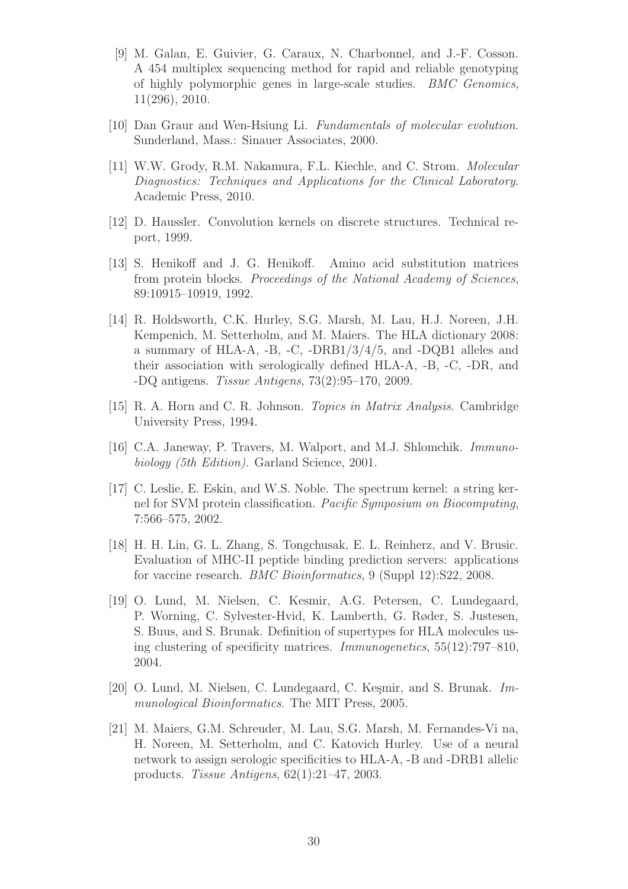- <span id="page-29-12"></span>[9] M. Galan, E. Guivier, G. Caraux, N. Charbonnel, and J.-F. Cosson. A 454 multiplex sequencing method for rapid and reliable genotyping of highly polymorphic genes in large-scale studies. BMC Genomics, 11(296), 2010.
- <span id="page-29-9"></span><span id="page-29-5"></span>[10] Dan Graur and Wen-Hsiung Li. Fundamentals of molecular evolution. Sunderland, Mass.: Sinauer Associates, 2000.
- [11] W.W. Grody, R.M. Nakamura, F.L. Kiechle, and C. Strom. Molecular Diagnostics: Techniques and Applications for the Clinical Laboratory. Academic Press, 2010.
- <span id="page-29-2"></span><span id="page-29-1"></span>[12] D. Haussler. Convolution kernels on discrete structures. Technical report, 1999.
- [13] S. Henikoff and J. G. Henikoff. Amino acid substitution matrices from protein blocks. Proceedings of the National Academy of Sciences, 89:10915–10919, 1992.
- <span id="page-29-0"></span>[14] R. Holdsworth, C.K. Hurley, S.G. Marsh, M. Lau, H.J. Noreen, J.H. Kempenich, M. Setterholm, and M. Maiers. The HLA dictionary 2008: a summary of HLA-A, -B, -C, -DRB1/3/4/5, and -DQB1 alleles and their association with serologically defined HLA-A, -B, -C, -DR, and -DQ antigens. Tissue Antigens, 73(2):95–170, 2009.
- <span id="page-29-11"></span><span id="page-29-7"></span>[15] R. A. Horn and C. R. Johnson. Topics in Matrix Analysis. Cambridge University Press, 1994.
- [16] C.A. Janeway, P. Travers, M. Walport, and M.J. Shlomchik. Immunobiology (5th Edition). Garland Science, 2001.
- <span id="page-29-3"></span>[17] C. Leslie, E. Eskin, and W.S. Noble. The spectrum kernel: a string kernel for SVM protein classification. Pacific Symposium on Biocomputing, 7:566–575, 2002.
- <span id="page-29-6"></span>[18] H. H. Lin, G. L. Zhang, S. Tongchusak, E. L. Reinherz, and V. Brusic. Evaluation of MHC-II peptide binding prediction servers: applications for vaccine research. BMC Bioinformatics, 9 (Suppl 12):S22, 2008.
- <span id="page-29-8"></span>[19] O. Lund, M. Nielsen, C. Kesmir, A.G. Petersen, C. Lundegaard, P. Worning, C. Sylvester-Hvid, K. Lamberth, G. Røder, S. Justesen, S. Buus, and S. Brunak. Definition of supertypes for HLA molecules using clustering of specificity matrices. Immunogenetics, 55(12):797–810, 2004.
- <span id="page-29-4"></span>[20] O. Lund, M. Nielsen, C. Lundegaard, C. Keşmir, and S. Brunak. Immunological Bioinformatics. The MIT Press, 2005.
- <span id="page-29-10"></span>[21] M. Maiers, G.M. Schreuder, M. Lau, S.G. Marsh, M. Fernandes-Vi na, H. Noreen, M. Setterholm, and C. Katovich Hurley. Use of a neural network to assign serologic specificities to HLA-A, -B and -DRB1 allelic products. Tissue Antigens, 62(1):21–47, 2003.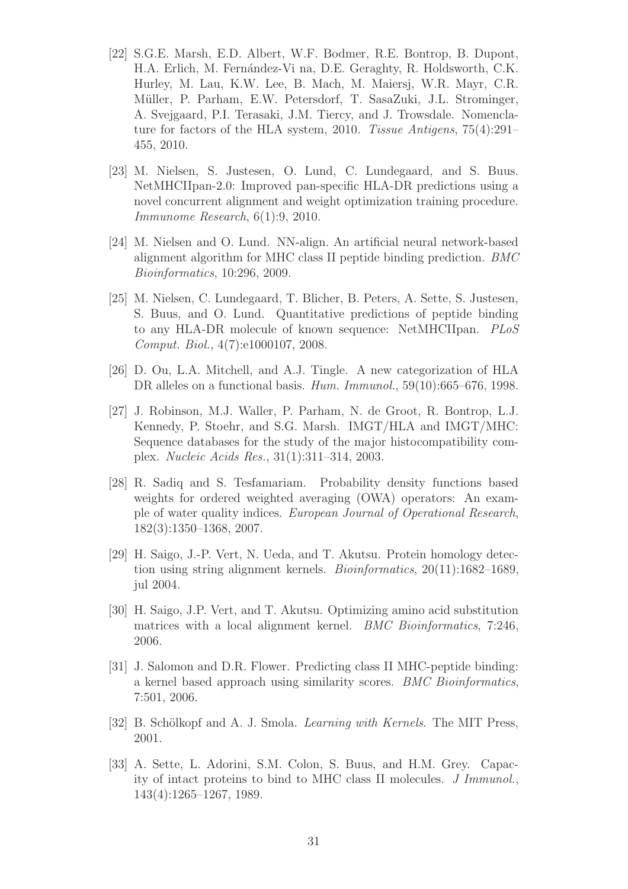- <span id="page-30-2"></span>[22] S.G.E. Marsh, E.D. Albert, W.F. Bodmer, R.E. Bontrop, B. Dupont, H.A. Erlich, M. Fernández-Vi na, D.E. Geraghty, R. Holdsworth, C.K. Hurley, M. Lau, K.W. Lee, B. Mach, M. Maiersj, W.R. Mayr, C.R. Müller, P. Parham, E.W. Petersdorf, T. SasaZuki, J.L. Strominger, A. Svejgaard, P.I. Terasaki, J.M. Tiercy, and J. Trowsdale. Nomenclature for factors of the HLA system, 2010. Tissue Antigens, 75(4):291– 455, 2010.
- <span id="page-30-1"></span>[23] M. Nielsen, S. Justesen, O. Lund, C. Lundegaard, and S. Buus. NetMHCIIpan-2.0: Improved pan-specific HLA-DR predictions using a novel concurrent alignment and weight optimization training procedure. Immunome Research, 6(1):9, 2010.
- <span id="page-30-0"></span>[24] M. Nielsen and O. Lund. NN-align. An artificial neural network-based alignment algorithm for MHC class II peptide binding prediction. BMC Bioinformatics, 10:296, 2009.
- <span id="page-30-9"></span>[25] M. Nielsen, C. Lundegaard, T. Blicher, B. Peters, A. Sette, S. Justesen, S. Buus, and O. Lund. Quantitative predictions of peptide binding to any HLA-DR molecule of known sequence: NetMHCIIpan. PLoS Comput. Biol., 4(7):e1000107, 2008.
- <span id="page-30-7"></span>[26] D. Ou, L.A. Mitchell, and A.J. Tingle. A new categorization of HLA DR alleles on a functional basis. Hum. Immunol., 59(10):665–676, 1998.
- <span id="page-30-8"></span>[27] J. Robinson, M.J. Waller, P. Parham, N. de Groot, R. Bontrop, L.J. Kennedy, P. Stoehr, and S.G. Marsh. IMGT/HLA and IMGT/MHC: Sequence databases for the study of the major histocompatibility complex. Nucleic Acids Res., 31(1):311–314, 2003.
- <span id="page-30-11"></span>[28] R. Sadiq and S. Tesfamariam. Probability density functions based weights for ordered weighted averaging (OWA) operators: An example of water quality indices. European Journal of Operational Research, 182(3):1350–1368, 2007.
- <span id="page-30-4"></span>[29] H. Saigo, J.-P. Vert, N. Ueda, and T. Akutsu. Protein homology detection using string alignment kernels. Bioinformatics, 20(11):1682–1689, jul 2004.
- <span id="page-30-3"></span>[30] H. Saigo, J.P. Vert, and T. Akutsu. Optimizing amino acid substitution matrices with a local alignment kernel. *BMC Bioinformatics*, 7:246, 2006.
- <span id="page-30-5"></span>[31] J. Salomon and D.R. Flower. Predicting class II MHC-peptide binding: a kernel based approach using similarity scores. BMC Bioinformatics, 7:501, 2006.
- <span id="page-30-10"></span><span id="page-30-6"></span>[32] B. Schölkopf and A. J. Smola. *Learning with Kernels*. The MIT Press, 2001.
- [33] A. Sette, L. Adorini, S.M. Colon, S. Buus, and H.M. Grey. Capacity of intact proteins to bind to MHC class II molecules. J Immunol., 143(4):1265–1267, 1989.